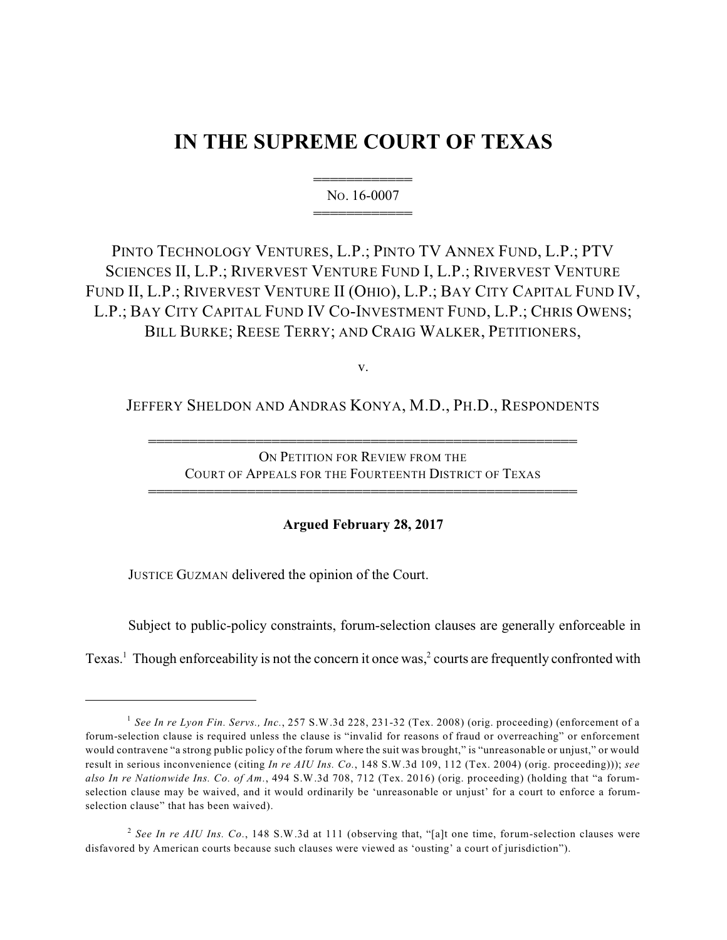# **IN THE SUPREME COURT OF TEXAS**

444444444444 NO. 16-0007 444444444444

PINTO TECHNOLOGY VENTURES, L.P.; PINTO TV ANNEX FUND, L.P.; PTV SCIENCES II, L.P.; RIVERVEST VENTURE FUND I, L.P.; RIVERVEST VENTURE FUND II, L.P.; RIVERVEST VENTURE II (OHIO), L.P.; BAY CITY CAPITAL FUND IV, L.P.; BAY CITY CAPITAL FUND IV CO-INVESTMENT FUND, L.P.; CHRIS OWENS; BILL BURKE; REESE TERRY; AND CRAIG WALKER, PETITIONERS,

v.

JEFFERY SHELDON AND ANDRAS KONYA, M.D., PH.D., RESPONDENTS

4444444444444444444444444444444444444444444444444444

ON PETITION FOR REVIEW FROM THE COURT OF APPEALS FOR THE FOURTEENTH DISTRICT OF TEXAS

4444444444444444444444444444444444444444444444444444

**Argued February 28, 2017**

JUSTICE GUZMAN delivered the opinion of the Court.

Subject to public-policy constraints, forum-selection clauses are generally enforceable in

Texas.<sup>1</sup> Though enforceability is not the concern it once was,  $\frac{2}{3}$  courts are frequently confronted with

*See In re Lyon Fin. Servs., Inc.*, 257 S.W.3d 228, 231-32 (Tex. 2008) (orig. proceeding) (enforcement of a 1 forum-selection clause is required unless the clause is "invalid for reasons of fraud or overreaching" or enforcement would contravene "a strong public policy of the forum where the suit was brought," is "unreasonable or unjust," or would result in serious inconvenience (citing *In re AIU Ins. Co.*, 148 S.W.3d 109, 112 (Tex. 2004) (orig. proceeding))); *see also In re Nationwide Ins. Co. of Am.*, 494 S.W.3d 708, 712 (Tex. 2016) (orig. proceeding) (holding that "a forumselection clause may be waived, and it would ordinarily be 'unreasonable or unjust' for a court to enforce a forumselection clause" that has been waived).

*See In re AIU Ins. Co.*, 148 S.W.3d at 111 (observing that, "[a]t one time, forum-selection clauses were 2 disfavored by American courts because such clauses were viewed as 'ousting' a court of jurisdiction").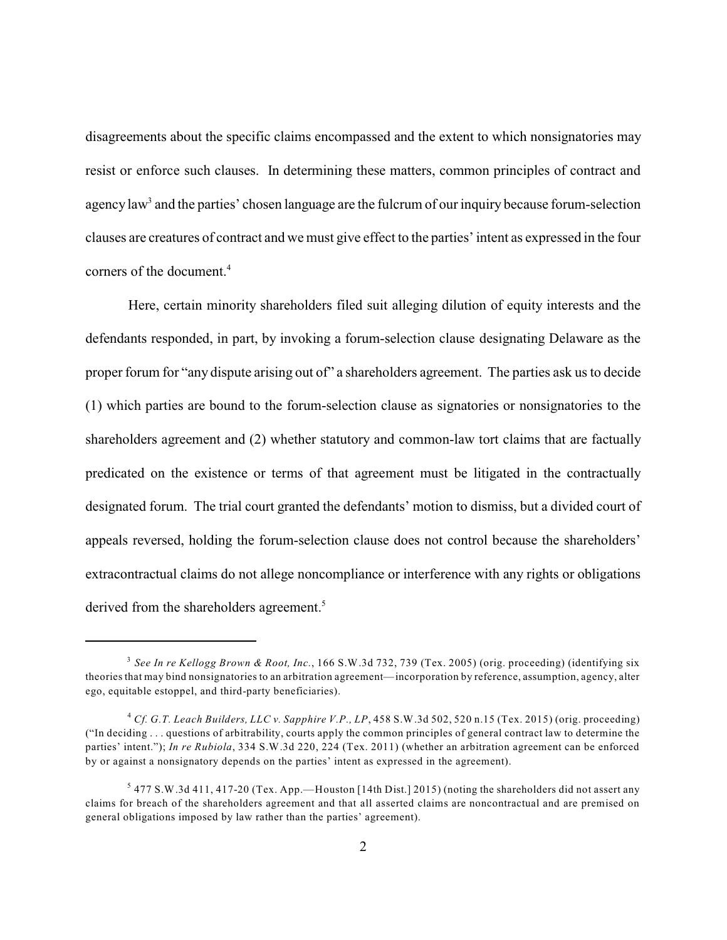disagreements about the specific claims encompassed and the extent to which nonsignatories may resist or enforce such clauses. In determining these matters, common principles of contract and agency law<sup>3</sup> and the parties' chosen language are the fulcrum of our inquiry because forum-selection clauses are creatures of contract and we must give effect to the parties'intent as expressed in the four corners of the document.<sup>4</sup>

Here, certain minority shareholders filed suit alleging dilution of equity interests and the defendants responded, in part, by invoking a forum-selection clause designating Delaware as the proper forum for "any dispute arising out of" a shareholders agreement. The parties ask us to decide (1) which parties are bound to the forum-selection clause as signatories or nonsignatories to the shareholders agreement and (2) whether statutory and common-law tort claims that are factually predicated on the existence or terms of that agreement must be litigated in the contractually designated forum. The trial court granted the defendants' motion to dismiss, but a divided court of appeals reversed, holding the forum-selection clause does not control because the shareholders' extracontractual claims do not allege noncompliance or interference with any rights or obligations derived from the shareholders agreement.<sup>5</sup>

*See In re Kellogg Brown & Root, Inc.*, 166 S.W.3d 732, 739 (Tex. 2005) (orig. proceeding) (identifying six 3 theories that may bind nonsignatories to an arbitration agreement—incorporation by reference, assumption, agency, alter ego, equitable estoppel, and third-party beneficiaries).

*Cf. G.T. Leach Builders, LLC v. Sapphire V.P., LP*, 458 S.W.3d 502, 520 n.15 (Tex. 2015) (orig. proceeding) 4 ("In deciding . . . questions of arbitrability, courts apply the common principles of general contract law to determine the parties' intent."); *In re Rubiola*, 334 S.W.3d 220, 224 (Tex. 2011) (whether an arbitration agreement can be enforced by or against a nonsignatory depends on the parties' intent as expressed in the agreement).

 $5$  477 S.W.3d 411, 417-20 (Tex. App.—Houston [14th Dist.] 2015) (noting the shareholders did not assert any claims for breach of the shareholders agreement and that all asserted claims are noncontractual and are premised on general obligations imposed by law rather than the parties' agreement).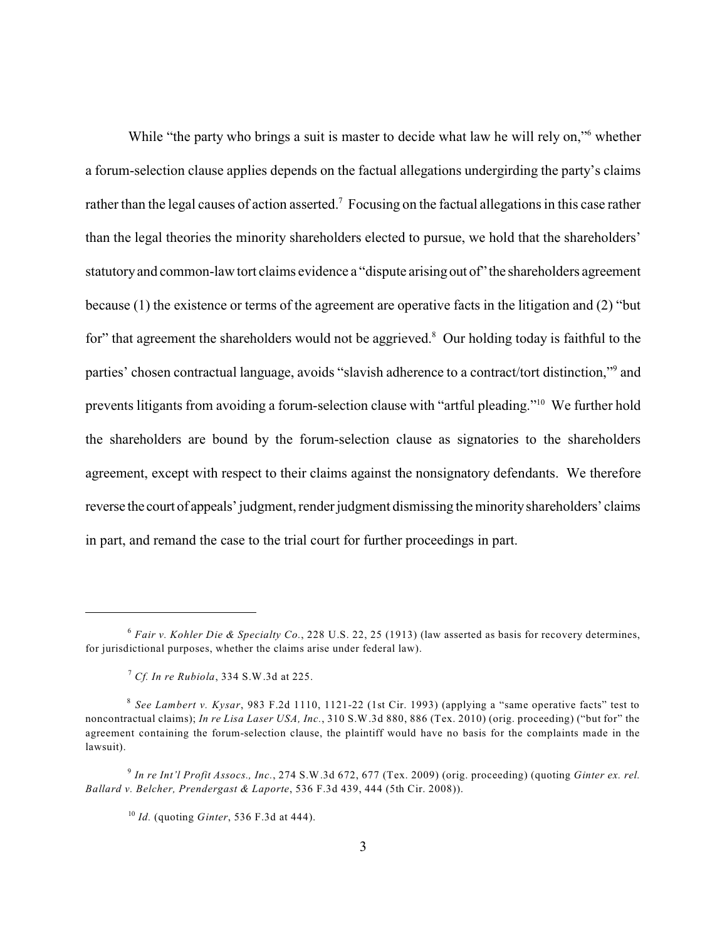While "the party who brings a suit is master to decide what law he will rely on," whether a forum-selection clause applies depends on the factual allegations undergirding the party's claims rather than the legal causes of action asserted.<sup>7</sup> Focusing on the factual allegations in this case rather than the legal theories the minority shareholders elected to pursue, we hold that the shareholders' statutoryand common-law tort claims evidence a "dispute arising out of" the shareholders agreement because (1) the existence or terms of the agreement are operative facts in the litigation and (2) "but for" that agreement the shareholders would not be aggrieved. $8$  Our holding today is faithful to the parties' chosen contractual language, avoids "slavish adherence to a contract/tort distinction,"<sup>9</sup> and prevents litigants from avoiding a forum-selection clause with "artful pleading."<sup>10</sup> We further hold the shareholders are bound by the forum-selection clause as signatories to the shareholders agreement, except with respect to their claims against the nonsignatory defendants. We therefore reverse the court of appeals' judgment, render judgment dismissing the minorityshareholders' claims in part, and remand the case to the trial court for further proceedings in part.

*Fair v. Kohler Die & Specialty Co.*, 228 U.S. 22, 25 (1913) (law asserted as basis for recovery determines, 6 for jurisdictional purposes, whether the claims arise under federal law).

*Cf. In re Rubiola*, 334 S.W.3d at 225. 7

*See Lambert v. Kysar*, 983 F.2d 1110, 1121-22 (1st Cir. 1993) (applying a "same operative facts" test to 8 noncontractual claims); *In re Lisa Laser USA, Inc.*, 310 S.W.3d 880, 886 (Tex. 2010) (orig. proceeding) ("but for" the agreement containing the forum-selection clause, the plaintiff would have no basis for the complaints made in the lawsuit).

*In re Int'l Profit Assocs., Inc.*, 274 S.W.3d 672, 677 (Tex. 2009) (orig. proceeding) (quoting *Ginter ex. rel.* 9 *Ballard v. Belcher, Prendergast & Laporte*, 536 F.3d 439, 444 (5th Cir. 2008)).

<sup>&</sup>lt;sup>10</sup> *Id.* (quoting *Ginter*, 536 F.3d at 444).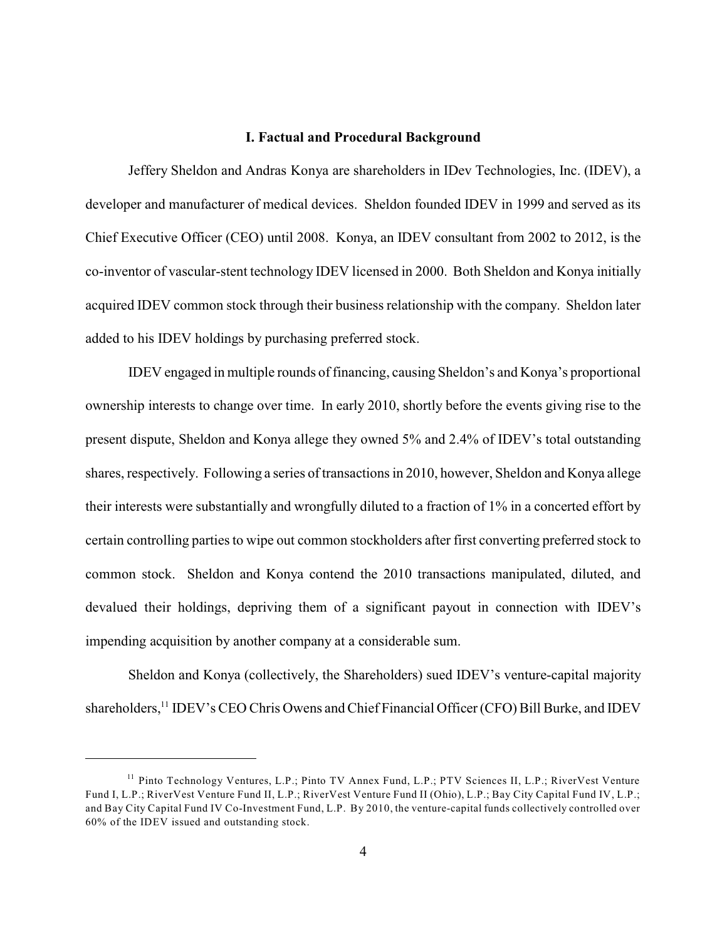#### **I. Factual and Procedural Background**

Jeffery Sheldon and Andras Konya are shareholders in IDev Technologies, Inc. (IDEV), a developer and manufacturer of medical devices. Sheldon founded IDEV in 1999 and served as its Chief Executive Officer (CEO) until 2008. Konya, an IDEV consultant from 2002 to 2012, is the co-inventor of vascular-stent technology IDEV licensed in 2000. Both Sheldon and Konya initially acquired IDEV common stock through their business relationship with the company. Sheldon later added to his IDEV holdings by purchasing preferred stock.

IDEV engaged in multiple rounds of financing, causing Sheldon's and Konya's proportional ownership interests to change over time. In early 2010, shortly before the events giving rise to the present dispute, Sheldon and Konya allege they owned 5% and 2.4% of IDEV's total outstanding shares, respectively. Following a series of transactions in 2010, however, Sheldon and Konya allege their interests were substantially and wrongfully diluted to a fraction of 1% in a concerted effort by certain controlling parties to wipe out common stockholders after first converting preferred stock to common stock. Sheldon and Konya contend the 2010 transactions manipulated, diluted, and devalued their holdings, depriving them of a significant payout in connection with IDEV's impending acquisition by another company at a considerable sum.

Sheldon and Konya (collectively, the Shareholders) sued IDEV's venture-capital majority shareholders,<sup>11</sup> IDEV's CEO Chris Owens and Chief Financial Officer (CFO) Bill Burke, and IDEV

<sup>&</sup>lt;sup>11</sup> Pinto Technology Ventures, L.P.; Pinto TV Annex Fund, L.P.; PTV Sciences II, L.P.; RiverVest Venture Fund I, L.P.; RiverVest Venture Fund II, L.P.; RiverVest Venture Fund II (Ohio), L.P.; Bay City Capital Fund IV, L.P.; and Bay City Capital Fund IV Co-Investment Fund, L.P. By 2010, the venture-capital funds collectively controlled over 60% of the IDEV issued and outstanding stock.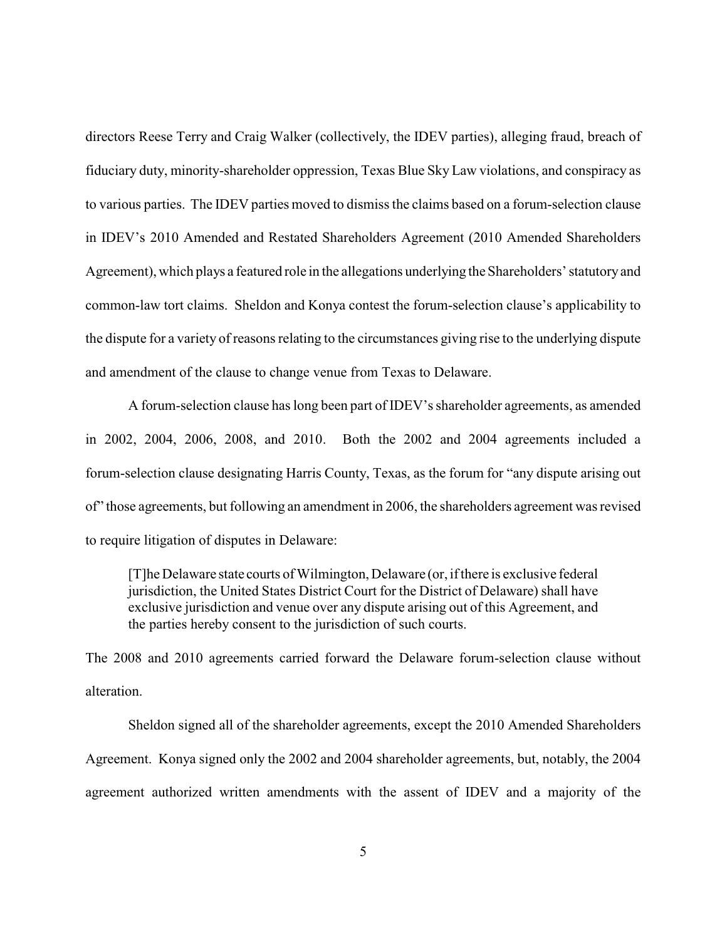directors Reese Terry and Craig Walker (collectively, the IDEV parties), alleging fraud, breach of fiduciary duty, minority-shareholder oppression, Texas Blue Sky Law violations, and conspiracy as to various parties. The IDEV parties moved to dismissthe claims based on a forum-selection clause in IDEV's 2010 Amended and Restated Shareholders Agreement (2010 Amended Shareholders Agreement), which plays a featured role in the allegations underlying the Shareholders' statutoryand common-law tort claims. Sheldon and Konya contest the forum-selection clause's applicability to the dispute for a variety of reasons relating to the circumstances giving rise to the underlying dispute and amendment of the clause to change venue from Texas to Delaware.

A forum-selection clause has long been part of IDEV's shareholder agreements, as amended in 2002, 2004, 2006, 2008, and 2010. Both the 2002 and 2004 agreements included a forum-selection clause designating Harris County, Texas, as the forum for "any dispute arising out of" those agreements, but following an amendment in 2006, the shareholders agreement was revised to require litigation of disputes in Delaware:

[T]he Delaware state courts of Wilmington, Delaware (or, if there is exclusive federal jurisdiction, the United States District Court for the District of Delaware) shall have exclusive jurisdiction and venue over any dispute arising out of this Agreement, and the parties hereby consent to the jurisdiction of such courts.

The 2008 and 2010 agreements carried forward the Delaware forum-selection clause without alteration.

Sheldon signed all of the shareholder agreements, except the 2010 Amended Shareholders Agreement. Konya signed only the 2002 and 2004 shareholder agreements, but, notably, the 2004 agreement authorized written amendments with the assent of IDEV and a majority of the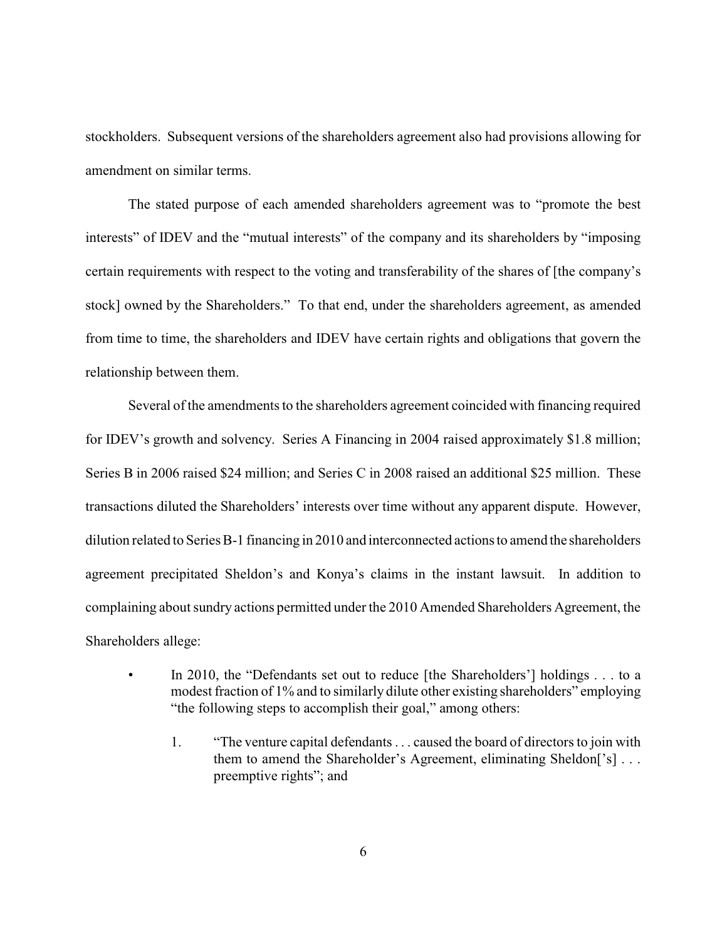stockholders. Subsequent versions of the shareholders agreement also had provisions allowing for amendment on similar terms.

The stated purpose of each amended shareholders agreement was to "promote the best interests" of IDEV and the "mutual interests" of the company and its shareholders by "imposing certain requirements with respect to the voting and transferability of the shares of [the company's stock] owned by the Shareholders." To that end, under the shareholders agreement, as amended from time to time, the shareholders and IDEV have certain rights and obligations that govern the relationship between them.

Several of the amendments to the shareholders agreement coincided with financing required for IDEV's growth and solvency. Series A Financing in 2004 raised approximately \$1.8 million; Series B in 2006 raised \$24 million; and Series C in 2008 raised an additional \$25 million. These transactions diluted the Shareholders' interests over time without any apparent dispute. However, dilution related to Series B-1 financing in 2010 and interconnected actions to amend the shareholders agreement precipitated Sheldon's and Konya's claims in the instant lawsuit. In addition to complaining about sundry actions permitted under the 2010 Amended Shareholders Agreement, the Shareholders allege:

- In 2010, the "Defendants set out to reduce [the Shareholders'] holdings . . . to a modest fraction of 1% and to similarly dilute other existing shareholders" employing "the following steps to accomplish their goal," among others:
	- 1. "The venture capital defendants . . . caused the board of directors to join with them to amend the Shareholder's Agreement, eliminating Sheldon<sup>['s]</sup> . . . preemptive rights"; and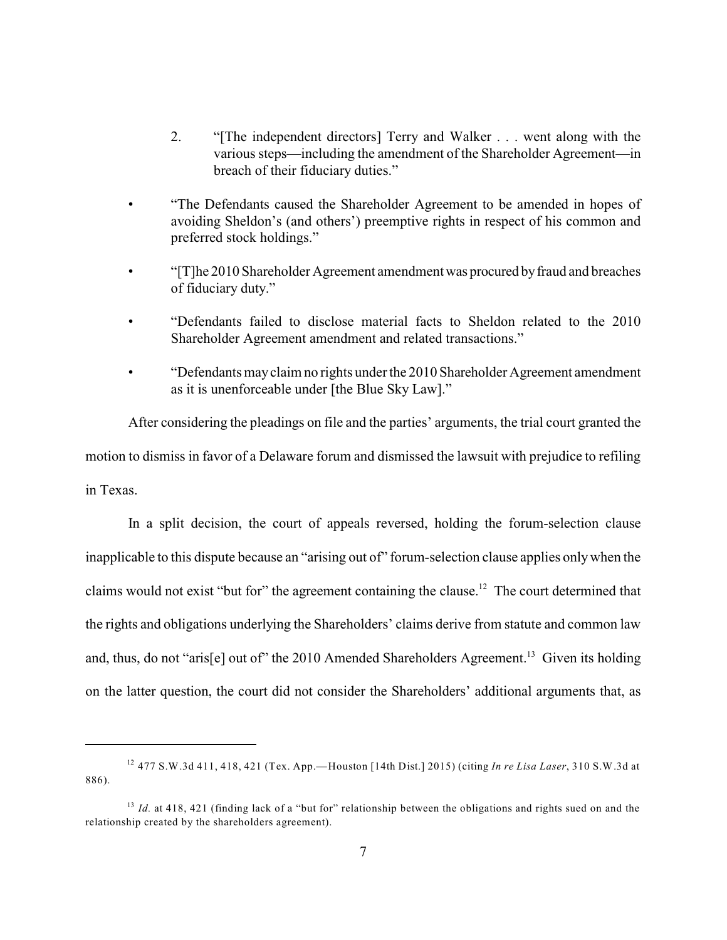- 2. "[The independent directors] Terry and Walker . . . went along with the various steps—including the amendment of the Shareholder Agreement—in breach of their fiduciary duties."
- "The Defendants caused the Shareholder Agreement to be amended in hopes of avoiding Sheldon's (and others') preemptive rights in respect of his common and preferred stock holdings."
- "[T]he 2010 Shareholder Agreement amendmentwas procured byfraud and breaches of fiduciary duty."
- "Defendants failed to disclose material facts to Sheldon related to the 2010 Shareholder Agreement amendment and related transactions."
- "Defendants mayclaim no rights under the 2010 Shareholder Agreement amendment as it is unenforceable under [the Blue Sky Law]."

After considering the pleadings on file and the parties' arguments, the trial court granted the motion to dismiss in favor of a Delaware forum and dismissed the lawsuit with prejudice to refiling in Texas.

In a split decision, the court of appeals reversed, holding the forum-selection clause inapplicable to this dispute because an "arising out of" forum-selection clause applies onlywhen the claims would not exist "but for" the agreement containing the clause.<sup>12</sup> The court determined that the rights and obligations underlying the Shareholders' claims derive from statute and common law and, thus, do not "aris[e] out of" the 2010 Amended Shareholders Agreement.<sup>13</sup> Given its holding on the latter question, the court did not consider the Shareholders' additional arguments that, as

 <sup>477</sup> S.W.3d 411, 418, 421 (Tex. App.—Houston [14th Dist.] 2015) (citing *In re Lisa Laser*, 310 S.W.3d at 12 886).

<sup>&</sup>lt;sup>13</sup> Id. at 418, 421 (finding lack of a "but for" relationship between the obligations and rights sued on and the relationship created by the shareholders agreement).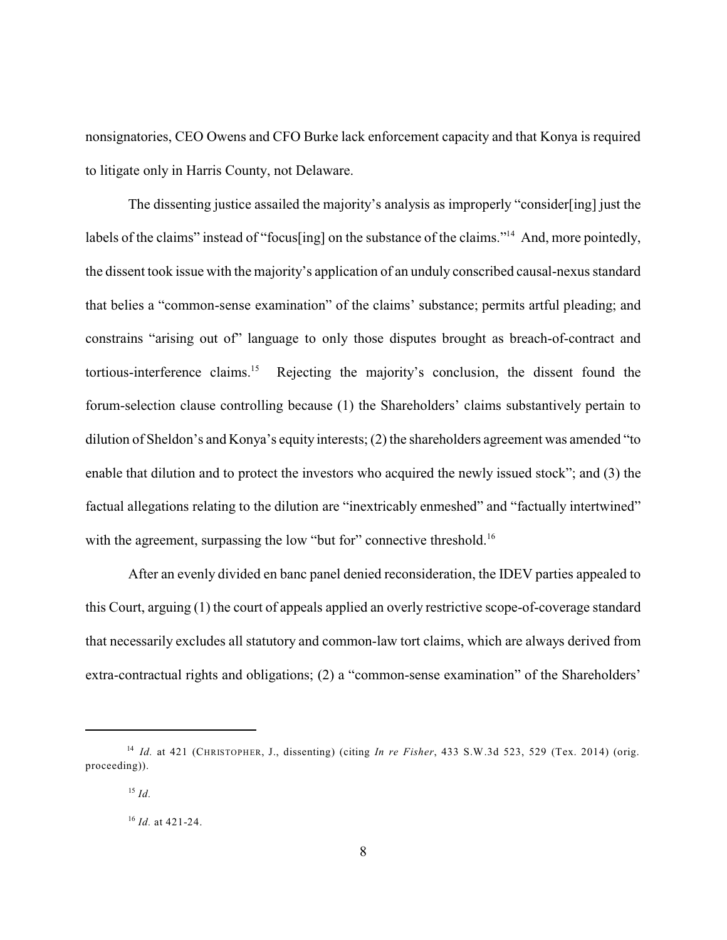nonsignatories, CEO Owens and CFO Burke lack enforcement capacity and that Konya is required to litigate only in Harris County, not Delaware.

The dissenting justice assailed the majority's analysis as improperly "consider[ing] just the labels of the claims" instead of "focus[ing] on the substance of the claims."<sup>14</sup> And, more pointedly, the dissent took issue with the majority's application of an unduly conscribed causal-nexus standard that belies a "common-sense examination" of the claims' substance; permits artful pleading; and constrains "arising out of" language to only those disputes brought as breach-of-contract and tortious-interference claims.<sup>15</sup> Rejecting the majority's conclusion, the dissent found the forum-selection clause controlling because (1) the Shareholders' claims substantively pertain to dilution of Sheldon's and Konya's equity interests; (2) the shareholders agreement was amended "to enable that dilution and to protect the investors who acquired the newly issued stock"; and (3) the factual allegations relating to the dilution are "inextricably enmeshed" and "factually intertwined" with the agreement, surpassing the low "but for" connective threshold.<sup>16</sup>

After an evenly divided en banc panel denied reconsideration, the IDEV parties appealed to this Court, arguing (1) the court of appeals applied an overly restrictive scope-of-coverage standard that necessarily excludes all statutory and common-law tort claims, which are always derived from extra-contractual rights and obligations; (2) a "common-sense examination" of the Shareholders'

*Id.* at 421 (CHRISTOPHER, J., dissenting) (citing *In re Fisher*, 433 S.W.3d 523, 529 (Tex. 2014) (orig. 14 proceeding)).

<sup>&</sup>lt;sup>15</sup> Id.

<sup>&</sup>lt;sup>16</sup> *Id.* at 421-24.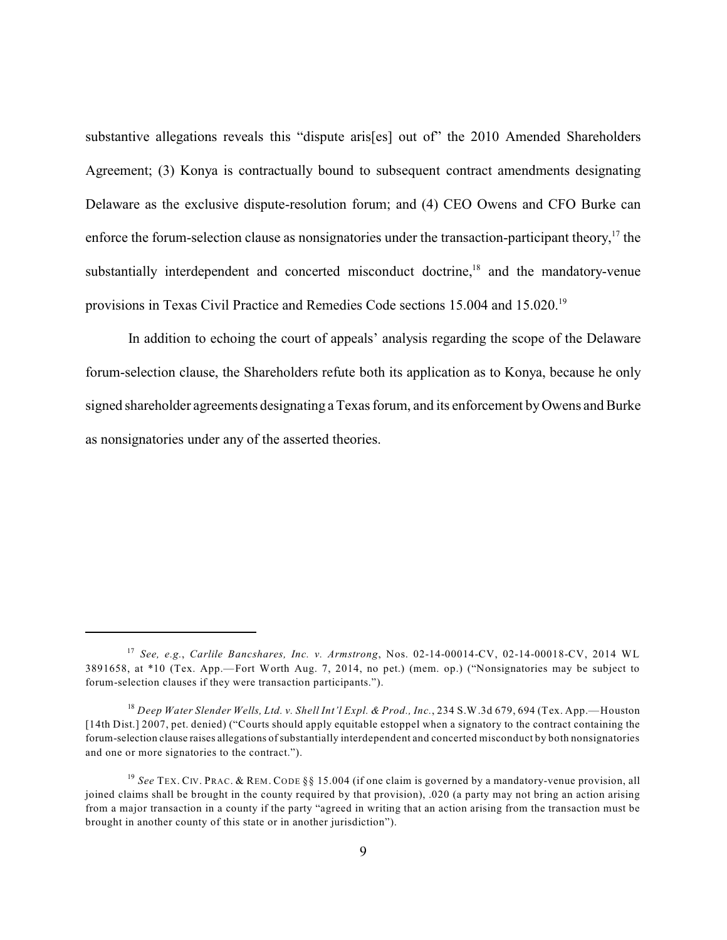substantive allegations reveals this "dispute aris[es] out of" the 2010 Amended Shareholders Agreement; (3) Konya is contractually bound to subsequent contract amendments designating Delaware as the exclusive dispute-resolution forum; and (4) CEO Owens and CFO Burke can enforce the forum-selection clause as nonsignatories under the transaction-participant theory,  $\frac{17}{17}$  the substantially interdependent and concerted misconduct doctrine, $18$  and the mandatory-venue provisions in Texas Civil Practice and Remedies Code sections 15.004 and 15.020.<sup>19</sup>

In addition to echoing the court of appeals' analysis regarding the scope of the Delaware forum-selection clause, the Shareholders refute both its application as to Konya, because he only signed shareholder agreements designating a Texas forum, and its enforcement byOwens and Burke as nonsignatories under any of the asserted theories.

*See, e.g.*, *Carlile Bancshares, Inc. v. Armstrong*, Nos. 02-14-00014-CV, 02-14-00018-CV, 2014 WL 17 3891658, at \*10 (Tex. App.—Fort Worth Aug. 7, 2014, no pet.) (mem. op.) ("Nonsignatories may be subject to forum-selection clauses if they were transaction participants.").

*Deep Water Slender Wells, Ltd. v. Shell Int'l Expl. & Prod., Inc.*, 234 S.W.3d 679, 694 (Tex. App.—Houston 18 [14th Dist.] 2007, pet. denied) ("Courts should apply equitable estoppel when a signatory to the contract containing the forum-selection clause raises allegations ofsubstantially interdependent and concerted misconduct by both nonsignatories and one or more signatories to the contract.").

<sup>&</sup>lt;sup>19</sup> See TEX. CIV. PRAC. & REM. CODE §§ 15.004 (if one claim is governed by a mandatory-venue provision, all joined claims shall be brought in the county required by that provision), .020 (a party may not bring an action arising from a major transaction in a county if the party "agreed in writing that an action arising from the transaction must be brought in another county of this state or in another jurisdiction").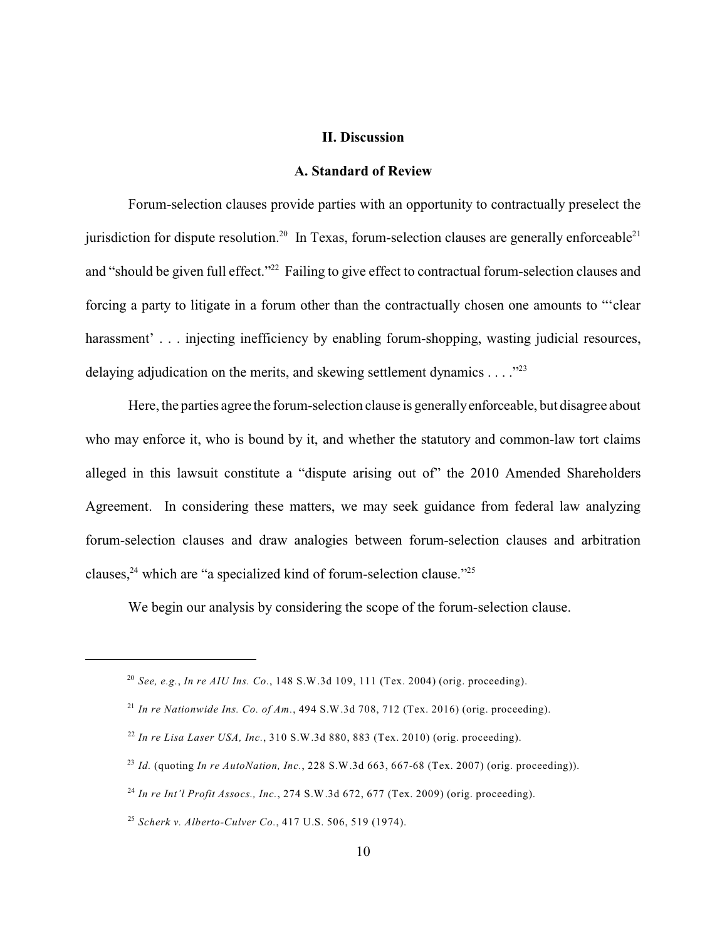# **II. Discussion**

#### **A. Standard of Review**

Forum-selection clauses provide parties with an opportunity to contractually preselect the jurisdiction for dispute resolution.<sup>20</sup> In Texas, forum-selection clauses are generally enforceable<sup>21</sup> and "should be given full effect."<sup>22</sup> Failing to give effect to contractual forum-selection clauses and forcing a party to litigate in a forum other than the contractually chosen one amounts to "'clear harassment'... injecting inefficiency by enabling forum-shopping, wasting judicial resources, delaying adjudication on the merits, and skewing settlement dynamics  $\dots$ ."<sup>23</sup>

Here, the parties agree the forum-selection clause is generallyenforceable, but disagree about who may enforce it, who is bound by it, and whether the statutory and common-law tort claims alleged in this lawsuit constitute a "dispute arising out of" the 2010 Amended Shareholders Agreement. In considering these matters, we may seek guidance from federal law analyzing forum-selection clauses and draw analogies between forum-selection clauses and arbitration clauses,  $24$  which are "a specialized kind of forum-selection clause."  $25$ 

We begin our analysis by considering the scope of the forum-selection clause.

*See, e.g.*, *In re AIU Ins. Co.*, 148 S.W.3d 109, 111 (Tex. 2004) (orig. proceeding). 20

*In re Nationwide Ins. Co. of Am.*, 494 S.W.3d 708, 712 (Tex. 2016) (orig. proceeding). 21

*In re Lisa Laser USA, Inc.*, 310 S.W.3d 880, 883 (Tex. 2010) (orig. proceeding). 22

*Id.* (quoting *In re AutoNation, Inc.*, 228 S.W.3d 663, 667-68 (Tex. 2007) (orig. proceeding)). 23

*In re Int'l Profit Assocs., Inc.*, 274 S.W.3d 672, 677 (Tex. 2009) (orig. proceeding). 24

*Scherk v. Alberto-Culver Co.*, 417 U.S. 506, 519 (1974). 25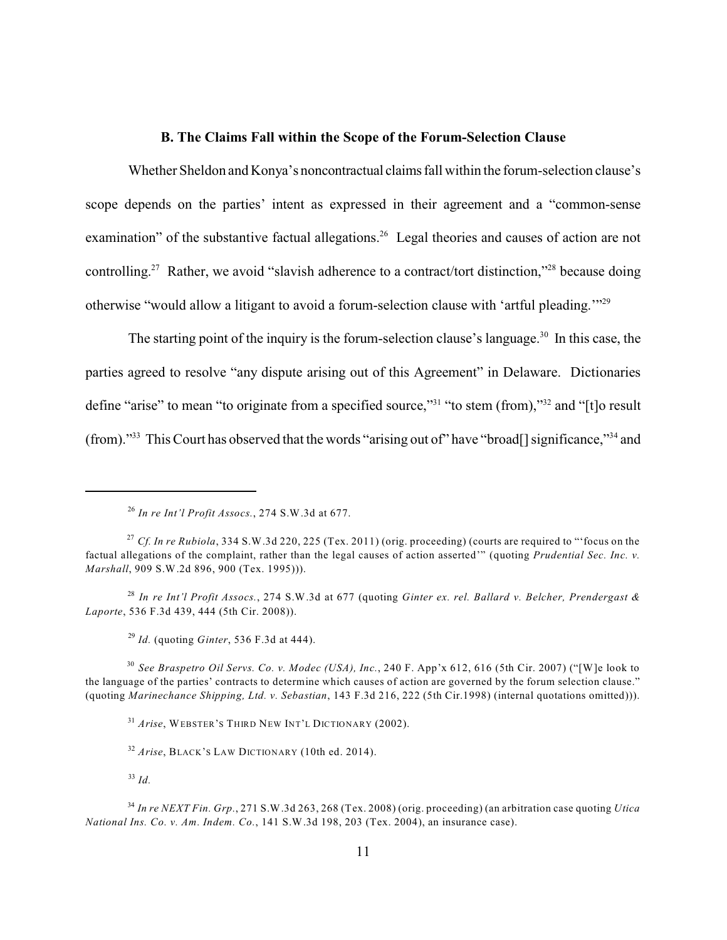# **B. The Claims Fall within the Scope of the Forum-Selection Clause**

Whether Sheldon and Konya's noncontractual claims fall within the forum-selection clause's scope depends on the parties' intent as expressed in their agreement and a "common-sense examination" of the substantive factual allegations.<sup>26</sup> Legal theories and causes of action are not controlling.<sup>27</sup> Rather, we avoid "slavish adherence to a contract/tort distinction,"<sup>28</sup> because doing otherwise "would allow a litigant to avoid a forum-selection clause with 'artful pleading.'"<sup>29</sup>

The starting point of the inquiry is the forum-selection clause's language.<sup>30</sup> In this case, the parties agreed to resolve "any dispute arising out of this Agreement" in Delaware. Dictionaries define "arise" to mean "to originate from a specified source,"<sup>31</sup> "to stem (from),"<sup>32</sup> and "[t]o result (from)."<sup>33</sup> This Court has observed that the words "arising out of" have "broad[] significance," and

*In re Int'l Profit Assocs.*, 274 S.W.3d at 677 (quoting *Ginter ex. rel. Ballard v. Belcher, Prendergast &* 28 *Laporte*, 536 F.3d 439, 444 (5th Cir. 2008)).

*Id.* (quoting *Ginter*, 536 F.3d at 444). 29

*See Braspetro Oil Servs. Co. v. Modec (USA), Inc.*, 240 F. App'x 612, 616 (5th Cir. 2007) ("[W]e look to 30 the language of the parties' contracts to determine which causes of action are governed by the forum selection clause." (quoting *Marinechance Shipping, Ltd. v. Sebastian*, 143 F.3d 216, 222 (5th Cir.1998) (internal quotations omitted))).

<sup>31</sup> Arise, WEBSTER'S THIRD NEW INT'L DICTIONARY (2002).

*Id.* 33

*In re Int'l Profit Assocs.*, 274 S.W.3d at 677. 26

*Cf. In re Rubiola*, 334 S.W.3d 220, 225 (Tex. 2011) (orig. proceeding) (courts are required to "'focus on the 27 factual allegations of the complaint, rather than the legal causes of action asserted'" (quoting *Prudential Sec. Inc. v. Marshall*, 909 S.W.2d 896, 900 (Tex. 1995))).

<sup>&</sup>lt;sup>32</sup> Arise, BLACK'S LAW DICTIONARY (10th ed. 2014).

*In re NEXT Fin. Grp.*, 271 S.W.3d 263, 268 (Tex. 2008) (orig. proceeding) (an arbitration case quoting *Utica* 34 *National Ins. Co. v. Am. Indem. Co.*, 141 S.W.3d 198, 203 (Tex. 2004), an insurance case).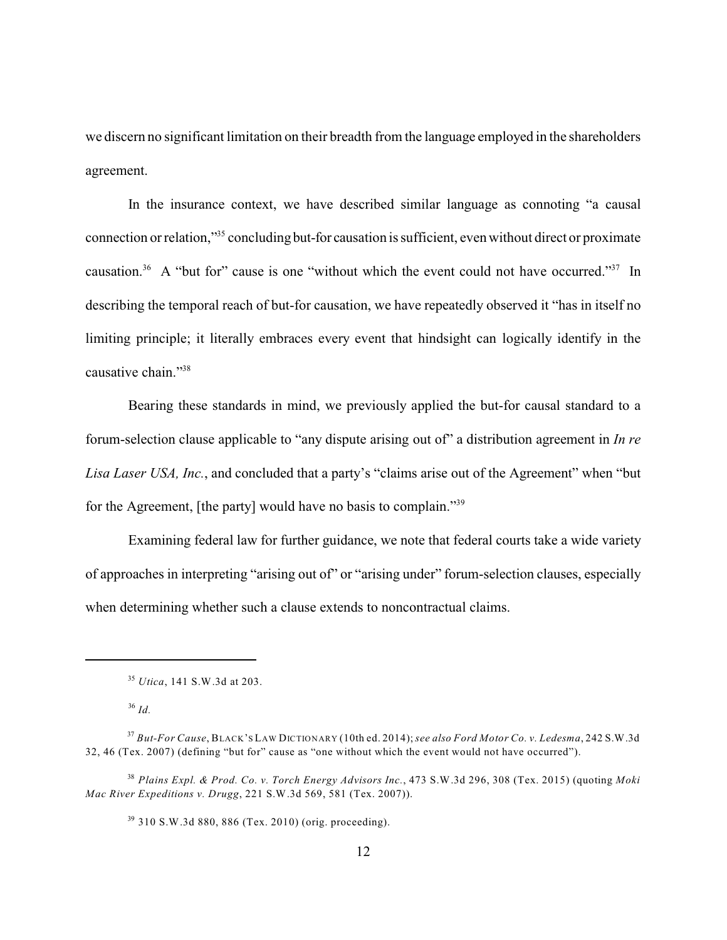we discern no significant limitation on their breadth from the language employed in the shareholders agreement.

In the insurance context, we have described similar language as connoting "a causal connection or relation,"<sup>35</sup> concluding but-for causation is sufficient, even without direct or proximate causation.<sup>36</sup> A "but for" cause is one "without which the event could not have occurred."<sup>37</sup> In describing the temporal reach of but-for causation, we have repeatedly observed it "has in itself no limiting principle; it literally embraces every event that hindsight can logically identify in the causative chain."<sup>38</sup>

Bearing these standards in mind, we previously applied the but-for causal standard to a forum-selection clause applicable to "any dispute arising out of" a distribution agreement in *In re Lisa Laser USA, Inc.*, and concluded that a party's "claims arise out of the Agreement" when "but for the Agreement, [the party] would have no basis to complain."<sup>39</sup>

Examining federal law for further guidance, we note that federal courts take a wide variety of approaches in interpreting "arising out of" or "arising under" forum-selection clauses, especially when determining whether such a clause extends to noncontractual claims.

<sup>&</sup>lt;sup>35</sup> *Utica*, 141 S.W.3d at 203.

*Id.* 36

*But-For Cause*, BLACK'S LAW DICTIONARY (10th ed. 2014); *see also Ford Motor Co. v. Ledesma*, 242 S.W.3d 37 32, 46 (Tex. 2007) (defining "but for" cause as "one without which the event would not have occurred").

*Plains Expl. & Prod. Co. v. Torch Energy Advisors Inc.*, 473 S.W.3d 296, 308 (Tex. 2015) (quoting *Moki* 38 *Mac River Expeditions v. Drugg*, 221 S.W.3d 569, 581 (Tex. 2007)).

<sup>&</sup>lt;sup>39</sup> 310 S.W.3d 880, 886 (Tex. 2010) (orig. proceeding).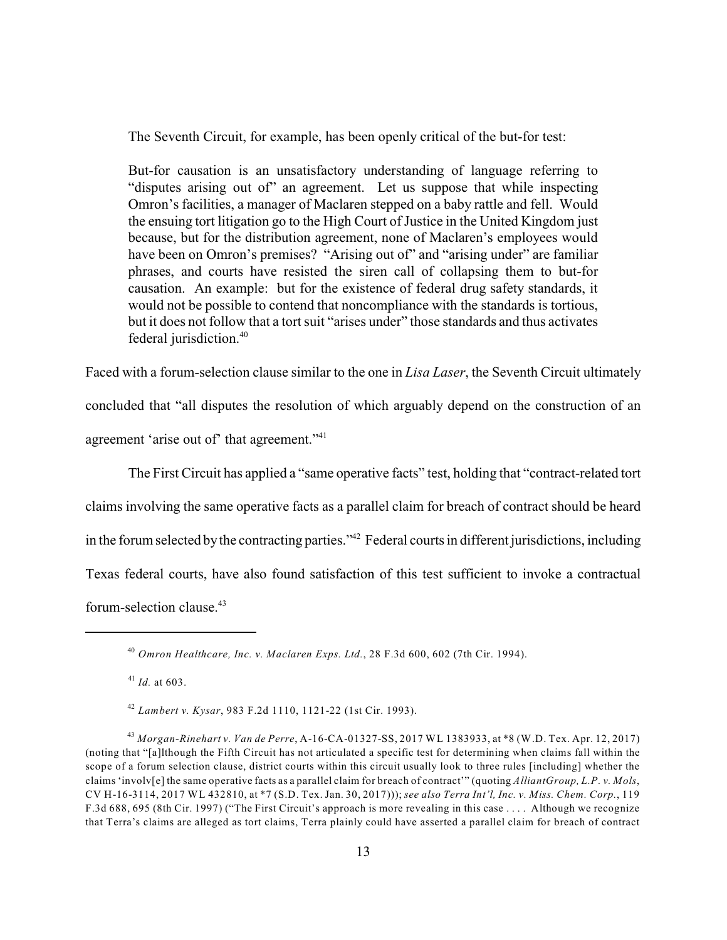The Seventh Circuit, for example, has been openly critical of the but-for test:

But-for causation is an unsatisfactory understanding of language referring to "disputes arising out of" an agreement. Let us suppose that while inspecting Omron's facilities, a manager of Maclaren stepped on a baby rattle and fell. Would the ensuing tort litigation go to the High Court of Justice in the United Kingdom just because, but for the distribution agreement, none of Maclaren's employees would have been on Omron's premises? "Arising out of" and "arising under" are familiar phrases, and courts have resisted the siren call of collapsing them to but-for causation. An example: but for the existence of federal drug safety standards, it would not be possible to contend that noncompliance with the standards is tortious, but it does not follow that a tort suit "arises under" those standards and thus activates federal jurisdiction.<sup>40</sup>

Faced with a forum-selection clause similar to the one in *Lisa Laser*, the Seventh Circuit ultimately concluded that "all disputes the resolution of which arguably depend on the construction of an agreement 'arise out of' that agreement."<sup>41</sup>

The First Circuit has applied a "same operative facts" test, holding that "contract-related tort claims involving the same operative facts as a parallel claim for breach of contract should be heard in the forum selected by the contracting parties."<sup>42</sup> Federal courts in different jurisdictions, including Texas federal courts, have also found satisfaction of this test sufficient to invoke a contractual forum-selection clause. 43

 $^{41}$  *Id.* at 603.

*Omron Healthcare, Inc. v. Maclaren Exps. Ltd.*, 28 F.3d 600, 602 (7th Cir. 1994). 40

*Lambert v. Kysar*, 983 F.2d 1110, 1121-22 (1st Cir. 1993). 42

*Morgan-Rinehart v. Van de Perre*, A-16-CA-01327-SS, 2017 WL 1383933, at \*8 (W.D. Tex. Apr. 12, 2017) 43 (noting that "[a]lthough the Fifth Circuit has not articulated a specific test for determining when claims fall within the scope of a forum selection clause, district courts within this circuit usually look to three rules [including] whether the claims 'involv[e] the same operative facts as a parallel claim for breach of contract'" (quoting *AlliantGroup, L.P. v. Mols*, CV H-16-3114, 2017 WL 432810, at \*7 (S.D. Tex. Jan. 30, 2017))); *see also Terra Int'l, Inc. v. Miss. Chem. Corp.*, 119 F.3d 688, 695 (8th Cir. 1997) ("The First Circuit's approach is more revealing in this case . . . . Although we recognize that Terra's claims are alleged as tort claims, Terra plainly could have asserted a parallel claim for breach of contract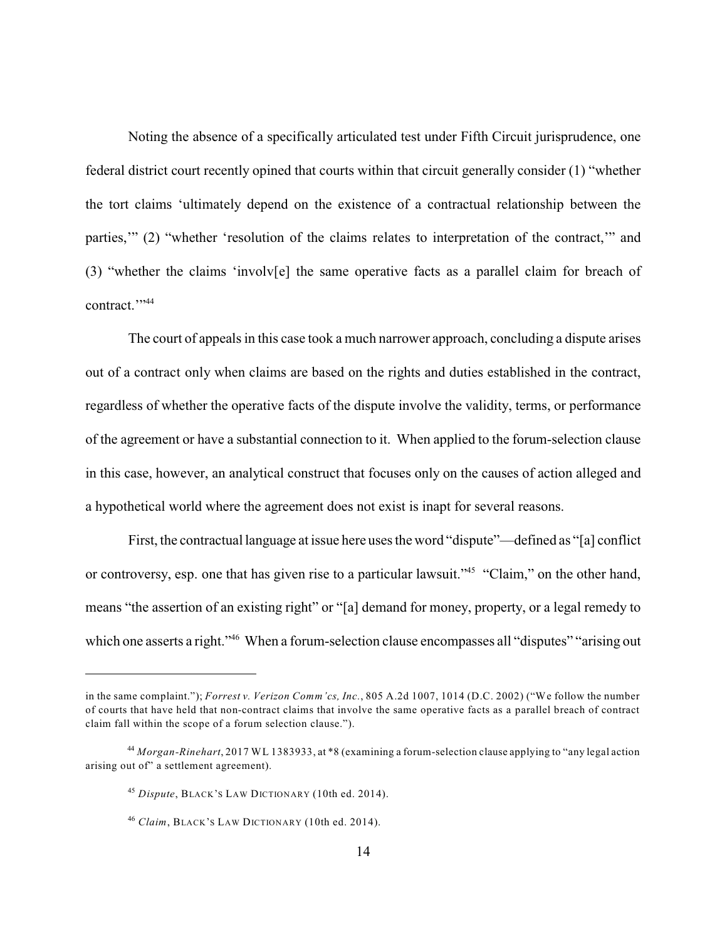Noting the absence of a specifically articulated test under Fifth Circuit jurisprudence, one federal district court recently opined that courts within that circuit generally consider (1) "whether the tort claims 'ultimately depend on the existence of a contractual relationship between the parties,'" (2) "whether 'resolution of the claims relates to interpretation of the contract,'" and (3) "whether the claims 'involv[e] the same operative facts as a parallel claim for breach of contract."

The court of appeals in this case took a much narrower approach, concluding a dispute arises out of a contract only when claims are based on the rights and duties established in the contract, regardless of whether the operative facts of the dispute involve the validity, terms, or performance of the agreement or have a substantial connection to it. When applied to the forum-selection clause in this case, however, an analytical construct that focuses only on the causes of action alleged and a hypothetical world where the agreement does not exist is inapt for several reasons.

First, the contractual language at issue here uses the word "dispute"—defined as "[a] conflict or controversy, esp. one that has given rise to a particular lawsuit."<sup>45</sup> "Claim," on the other hand, means "the assertion of an existing right" or "[a] demand for money, property, or a legal remedy to which one asserts a right." When a forum-selection clause encompasses all "disputes" "arising out

in the same complaint."); *Forrest v. Verizon Comm'cs, Inc.*, 805 A.2d 1007, 1014 (D.C. 2002) ("We follow the number of courts that have held that non-contract claims that involve the same operative facts as a parallel breach of contract claim fall within the scope of a forum selection clause.").

<sup>&</sup>lt;sup>44</sup> Morgan-Rinehart, 2017 WL 1383933, at \*8 (examining a forum-selection clause applying to "any legal action arising out of" a settlement agreement).

<sup>&</sup>lt;sup>45</sup> Dispute, BLACK'S LAW DICTIONARY (10th ed. 2014).

<sup>&</sup>lt;sup>46</sup> Claim, BLACK's LAW DICTIONARY (10th ed. 2014).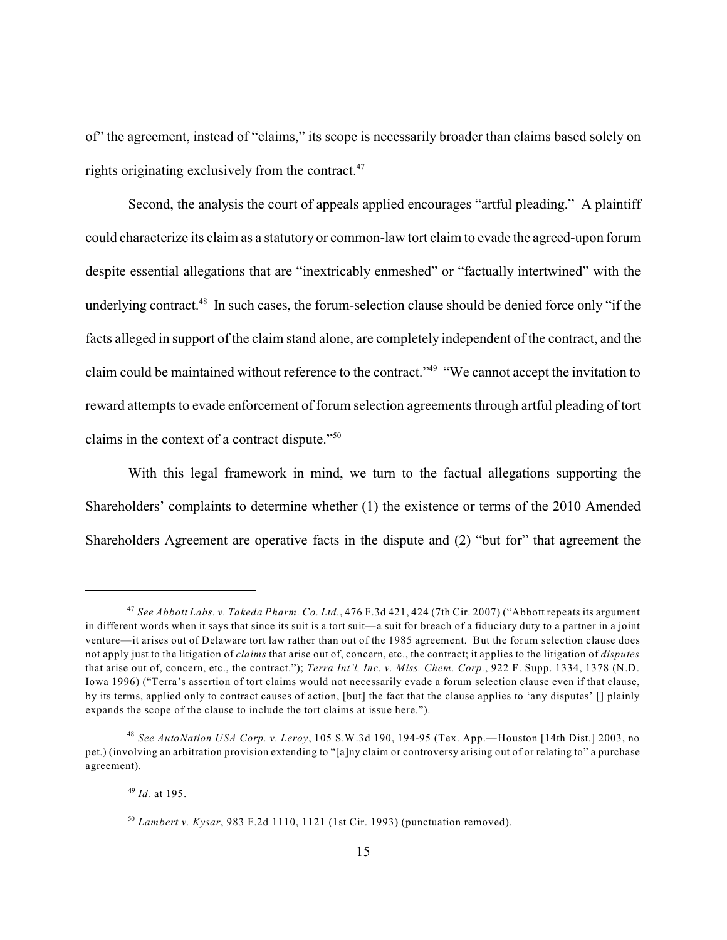of" the agreement, instead of "claims," its scope is necessarily broader than claims based solely on rights originating exclusively from the contract. $47$ 

Second, the analysis the court of appeals applied encourages "artful pleading." A plaintiff could characterize its claim as a statutory or common-law tort claim to evade the agreed-upon forum despite essential allegations that are "inextricably enmeshed" or "factually intertwined" with the underlying contract.<sup>48</sup> In such cases, the forum-selection clause should be denied force only "if the facts alleged in support of the claim stand alone, are completely independent of the contract, and the claim could be maintained without reference to the contract."<sup>49</sup> "We cannot accept the invitation to reward attempts to evade enforcement of forum selection agreements through artful pleading of tort claims in the context of a contract dispute." $50$ 

With this legal framework in mind, we turn to the factual allegations supporting the Shareholders' complaints to determine whether (1) the existence or terms of the 2010 Amended Shareholders Agreement are operative facts in the dispute and (2) "but for" that agreement the

*See Abbott Labs. v. Takeda Pharm. Co. Ltd.*, 476 F.3d 421, 424 (7th Cir. 2007) ("Abbott repeats its argument 47 in different words when it says that since its suit is a tort suit—a suit for breach of a fiduciary duty to a partner in a joint venture—it arises out of Delaware tort law rather than out of the 1985 agreement. But the forum selection clause does not apply just to the litigation of *claims* that arise out of, concern, etc., the contract; it applies to the litigation of *disputes* that arise out of, concern, etc., the contract."); *Terra Int'l, Inc. v. Miss. Chem. Corp.*, 922 F. Supp. 1334, 1378 (N.D. Iowa 1996) ("Terra's assertion of tort claims would not necessarily evade a forum selection clause even if that clause, by its terms, applied only to contract causes of action, [but] the fact that the clause applies to 'any disputes' [] plainly expands the scope of the clause to include the tort claims at issue here.").

*See AutoNation USA Corp. v. Leroy*, 105 S.W.3d 190, 194-95 (Tex. App.—Houston [14th Dist.] 2003, no 48 pet.) (involving an arbitration provision extending to "[a]ny claim or controversy arising out of or relating to" a purchase agreement).

<sup>&</sup>lt;sup>49</sup> *Id.* at 195.

*Lambert v. Kysar*, 983 F.2d 1110, 1121 (1st Cir. 1993) (punctuation removed). 50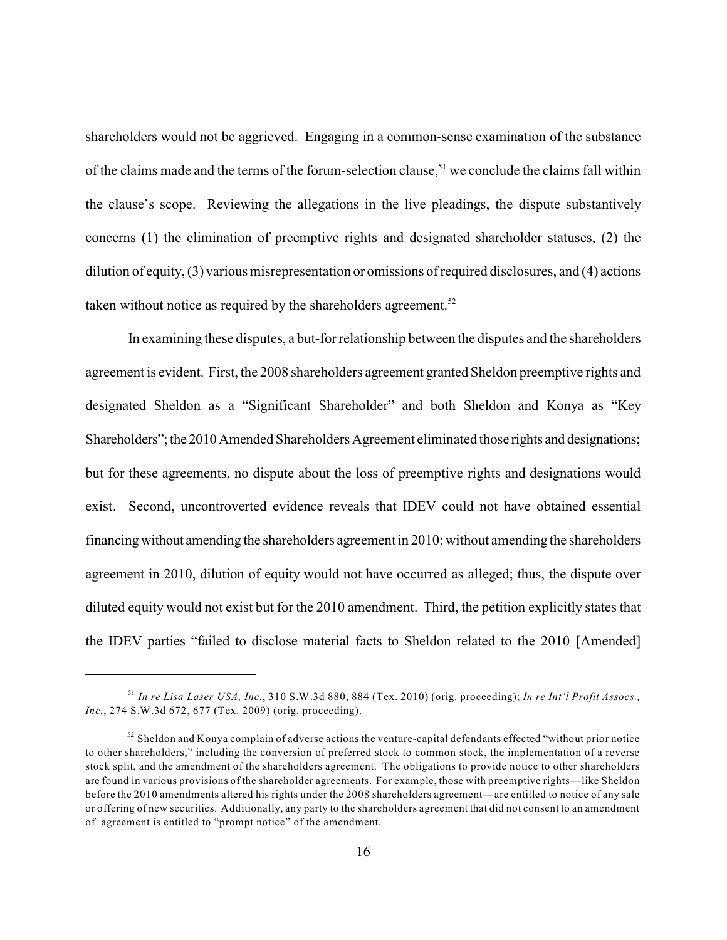shareholders would not be aggrieved. Engaging in a common-sense examination of the substance of the claims made and the terms of the forum-selection clause,<sup>51</sup> we conclude the claims fall within the clause's scope. Reviewing the allegations in the live pleadings, the dispute substantively concerns (1) the elimination of preemptive rights and designated shareholder statuses, (2) the dilution of equity, (3) various misrepresentation or omissions of required disclosures, and (4) actions taken without notice as required by the shareholders agreement.<sup>52</sup>

In examining these disputes, a but-for relationship between the disputes and the shareholders agreement is evident. First, the 2008 shareholders agreement granted Sheldon preemptive rights and designated Sheldon as a "Significant Shareholder" and both Sheldon and Konya as "Key Shareholders"; the 2010 Amended Shareholders Agreement eliminated those rights and designations; but for these agreements, no dispute about the loss of preemptive rights and designations would exist. Second, uncontroverted evidence reveals that IDEV could not have obtained essential financing without amending the shareholders agreement in 2010; without amending the shareholders agreement in 2010, dilution of equity would not have occurred as alleged; thus, the dispute over diluted equity would not exist but for the 2010 amendment. Third, the petition explicitly states that the IDEV parties "failed to disclose material facts to Sheldon related to the 2010 [Amended]

*In re Lisa Laser USA, Inc.*, 310 S.W.3d 880, 884 (Tex. 2010) (orig. proceeding); *In re Int'l Profit Assocs.,* 51 *Inc.*, 274 S.W.3d 672, 677 (Tex. 2009) (orig. proceeding).

 $52$  Sheldon and Konya complain of adverse actions the venture-capital defendants effected "without prior notice to other shareholders," including the conversion of preferred stock to common stock, the implementation of a reverse stock split, and the amendment of the shareholders agreement. The obligations to provide notice to other shareholders are found in various provisions of the shareholder agreements. For example, those with preemptive rights—like Sheldon before the 2010 amendments altered his rights under the 2008 shareholders agreement—are entitled to notice of any sale or offering of new securities. Additionally, any party to the shareholders agreement that did not consent to an amendment of agreement is entitled to "prompt notice" of the amendment.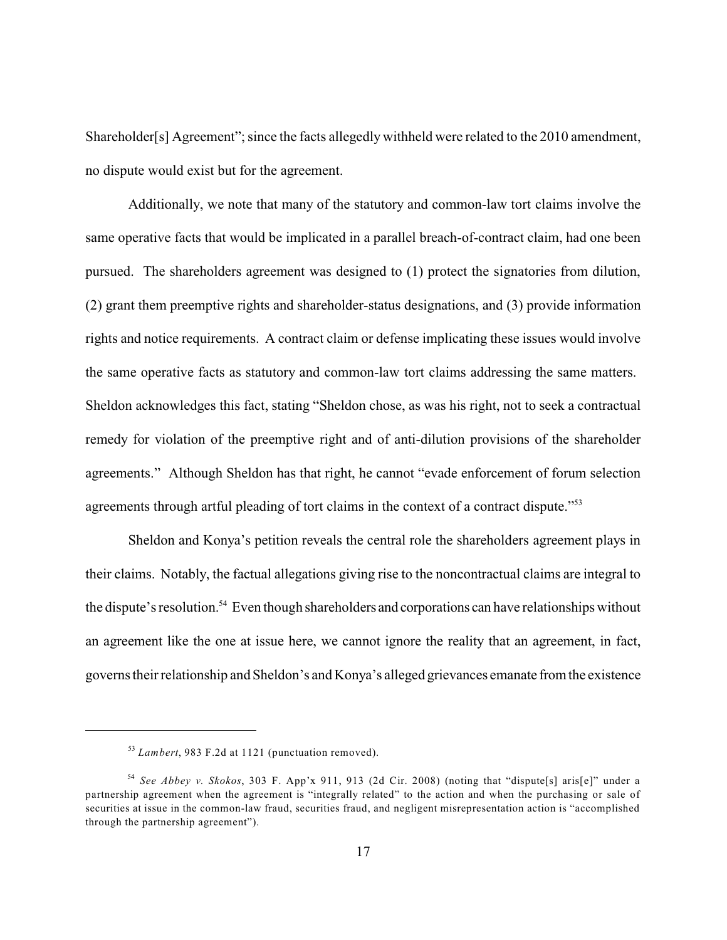Shareholder[s] Agreement"; since the facts allegedly withheld were related to the 2010 amendment, no dispute would exist but for the agreement.

Additionally, we note that many of the statutory and common-law tort claims involve the same operative facts that would be implicated in a parallel breach-of-contract claim, had one been pursued. The shareholders agreement was designed to (1) protect the signatories from dilution, (2) grant them preemptive rights and shareholder-status designations, and (3) provide information rights and notice requirements. A contract claim or defense implicating these issues would involve the same operative facts as statutory and common-law tort claims addressing the same matters. Sheldon acknowledges this fact, stating "Sheldon chose, as was his right, not to seek a contractual remedy for violation of the preemptive right and of anti-dilution provisions of the shareholder agreements." Although Sheldon has that right, he cannot "evade enforcement of forum selection agreements through artful pleading of tort claims in the context of a contract dispute."<sup>53</sup>

Sheldon and Konya's petition reveals the central role the shareholders agreement plays in their claims. Notably, the factual allegations giving rise to the noncontractual claims are integral to the dispute's resolution.<sup>54</sup> Even though shareholders and corporations can have relationships without an agreement like the one at issue here, we cannot ignore the reality that an agreement, in fact, governs their relationship and Sheldon's and Konya's alleged grievances emanate from the existence

<sup>&</sup>lt;sup>53</sup> Lambert, 983 F.2d at 1121 (punctuation removed).

*See Abbey v. Skokos*, 303 F. App'x 911, 913 (2d Cir. 2008) (noting that "dispute[s] aris[e]" under a 54 partnership agreement when the agreement is "integrally related" to the action and when the purchasing or sale of securities at issue in the common-law fraud, securities fraud, and negligent misrepresentation action is "accomplished through the partnership agreement").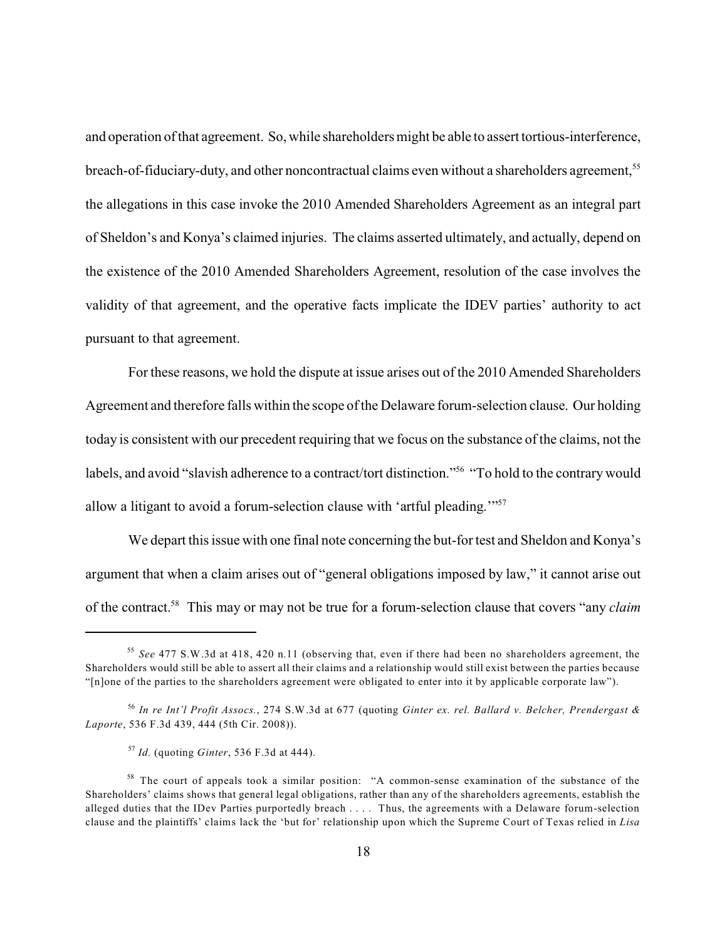and operation of that agreement. So, while shareholders might be able to assert tortious-interference, breach-of-fiduciary-duty, and other noncontractual claims even without a shareholders agreement,<sup>55</sup> the allegations in this case invoke the 2010 Amended Shareholders Agreement as an integral part of Sheldon's and Konya's claimed injuries. The claims asserted ultimately, and actually, depend on the existence of the 2010 Amended Shareholders Agreement, resolution of the case involves the validity of that agreement, and the operative facts implicate the IDEV parties' authority to act pursuant to that agreement.

For these reasons, we hold the dispute at issue arises out of the 2010 Amended Shareholders Agreement and therefore falls within the scope of the Delaware forum-selection clause. Our holding today is consistent with our precedent requiring that we focus on the substance of the claims, not the labels, and avoid "slavish adherence to a contract/tort distinction."<sup>56</sup> "To hold to the contrary would allow a litigant to avoid a forum-selection clause with 'artful pleading.'"<sup>57</sup>

We depart this issue with one final note concerning the but-for test and Sheldon and Konya's argument that when a claim arises out of "general obligations imposed by law," it cannot arise out of the contract.<sup>58</sup> This may or may not be true for a forum-selection clause that covers "any *claim*"

*See* 477 S.W.3d at 418, 420 n.11 (observing that, even if there had been no shareholders agreement, the 55 Shareholders would still be able to assert all their claims and a relationship would still exist between the parties because "[n]one of the parties to the shareholders agreement were obligated to enter into it by applicable corporate law").

*In re Int'l Profit Assocs.*, 274 S.W.3d at 677 (quoting *Ginter ex. rel. Ballard v. Belcher, Prendergast &* 56 *Laporte*, 536 F.3d 439, 444 (5th Cir. 2008)).

*Id.* (quoting *Ginter*, 536 F.3d at 444). 57

<sup>&</sup>lt;sup>58</sup> The court of appeals took a similar position: "A common-sense examination of the substance of the Shareholders' claims shows that general legal obligations, rather than any of the shareholders agreements, establish the alleged duties that the IDev Parties purportedly breach . . . . Thus, the agreements with a Delaware forum-selection clause and the plaintiffs' claims lack the 'but for' relationship upon which the Supreme Court of Texas relied in *Lisa*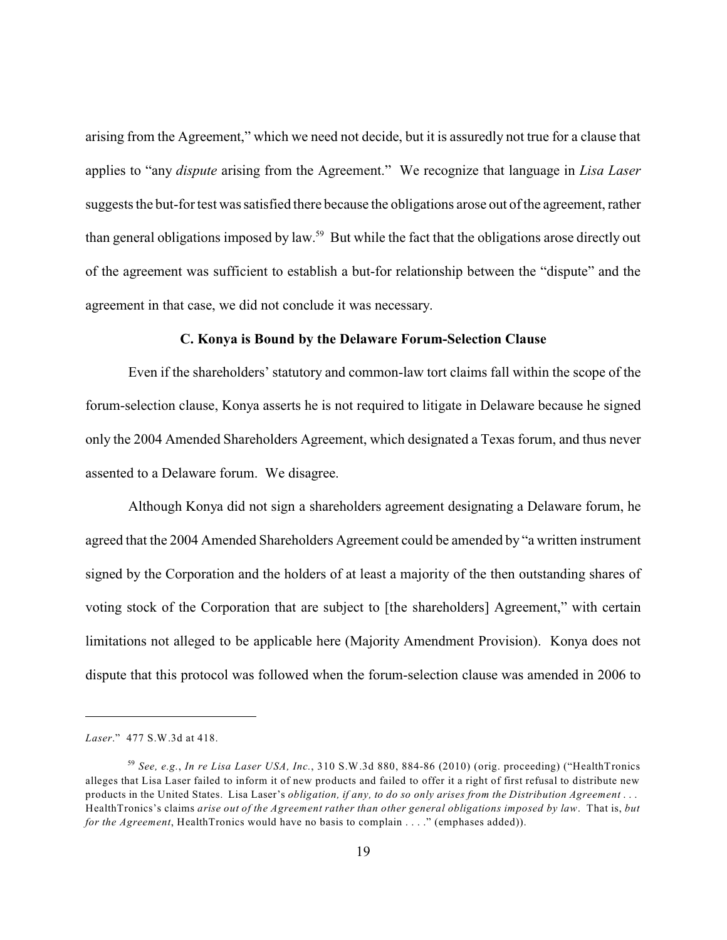arising from the Agreement," which we need not decide, but it is assuredly not true for a clause that applies to "any *dispute* arising from the Agreement." We recognize that language in *Lisa Laser* suggests the but-for test was satisfied there because the obligations arose out of the agreement, rather than general obligations imposed by law.<sup>59</sup> But while the fact that the obligations arose directly out of the agreement was sufficient to establish a but-for relationship between the "dispute" and the agreement in that case, we did not conclude it was necessary.

#### **C. Konya is Bound by the Delaware Forum-Selection Clause**

Even if the shareholders' statutory and common-law tort claims fall within the scope of the forum-selection clause, Konya asserts he is not required to litigate in Delaware because he signed only the 2004 Amended Shareholders Agreement, which designated a Texas forum, and thus never assented to a Delaware forum. We disagree.

Although Konya did not sign a shareholders agreement designating a Delaware forum, he agreed that the 2004 Amended Shareholders Agreement could be amended by "a written instrument signed by the Corporation and the holders of at least a majority of the then outstanding shares of voting stock of the Corporation that are subject to [the shareholders] Agreement," with certain limitations not alleged to be applicable here (Majority Amendment Provision). Konya does not dispute that this protocol was followed when the forum-selection clause was amended in 2006 to

*Laser*." 477 S.W.3d at 418.

*See, e.g.*, *In re Lisa Laser USA, Inc.*, 310 S.W.3d 880, 884-86 (2010) (orig. proceeding) ("HealthTronics 59 alleges that Lisa Laser failed to inform it of new products and failed to offer it a right of first refusal to distribute new products in the United States. Lisa Laser's *obligation, if any, to do so only arises from the Distribution Agreement* . . . HealthTronics's claims *arise out of the Agreement rather than other general obligations imposed by law*. That is, *but for the Agreement*, HealthTronics would have no basis to complain . . . ." (emphases added)).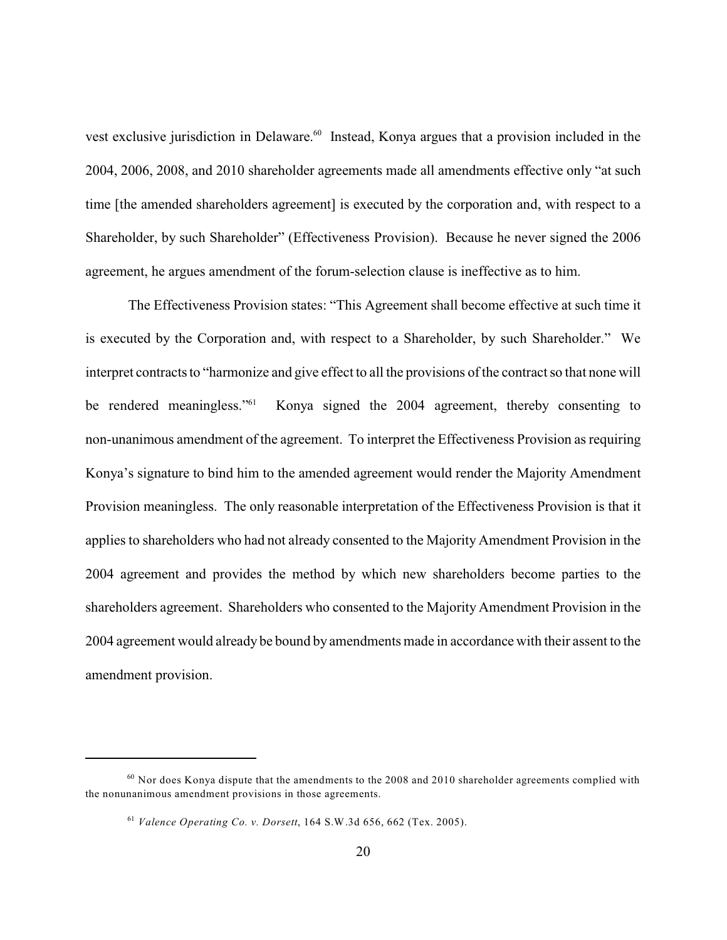vest exclusive jurisdiction in Delaware.<sup>60</sup> Instead, Konya argues that a provision included in the 2004, 2006, 2008, and 2010 shareholder agreements made all amendments effective only "at such time [the amended shareholders agreement] is executed by the corporation and, with respect to a Shareholder, by such Shareholder" (Effectiveness Provision). Because he never signed the 2006 agreement, he argues amendment of the forum-selection clause is ineffective as to him.

The Effectiveness Provision states: "This Agreement shall become effective at such time it is executed by the Corporation and, with respect to a Shareholder, by such Shareholder." We interpret contracts to "harmonize and give effect to all the provisions of the contract so that none will Konya signed the 2004 agreement, thereby consenting to be rendered meaningless."<sup>61</sup> non-unanimous amendment of the agreement. To interpret the Effectiveness Provision as requiring Konya's signature to bind him to the amended agreement would render the Majority Amendment Provision meaningless. The only reasonable interpretation of the Effectiveness Provision is that it applies to shareholders who had not already consented to the Majority Amendment Provision in the 2004 agreement and provides the method by which new shareholders become parties to the shareholders agreement. Shareholders who consented to the Majority Amendment Provision in the 2004 agreement would already be bound by amendments made in accordance with their assent to the amendment provision.

 $^{60}$  Nor does Konya dispute that the amendments to the 2008 and 2010 shareholder agreements complied with the nonunanimous amendment provisions in those agreements.

*Valence Operating Co. v. Dorsett*, 164 S.W.3d 656, 662 (Tex. 2005). 61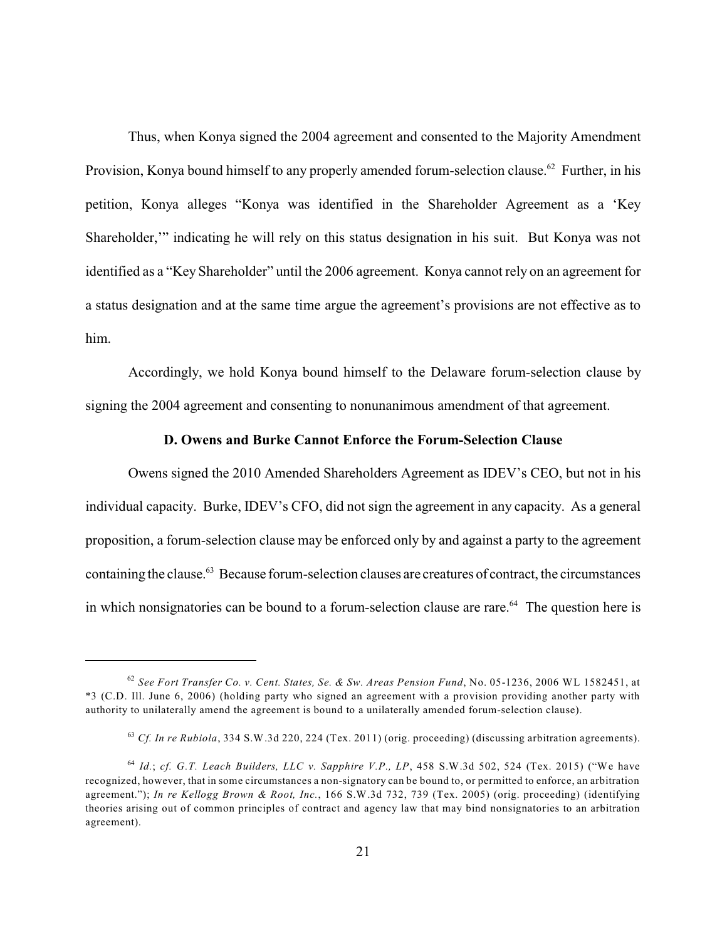Thus, when Konya signed the 2004 agreement and consented to the Majority Amendment Provision, Konya bound himself to any properly amended forum-selection clause.<sup>62</sup> Further, in his petition, Konya alleges "Konya was identified in the Shareholder Agreement as a 'Key Shareholder,'" indicating he will rely on this status designation in his suit. But Konya was not identified as a "Key Shareholder" until the 2006 agreement. Konya cannot rely on an agreement for a status designation and at the same time argue the agreement's provisions are not effective as to him.

Accordingly, we hold Konya bound himself to the Delaware forum-selection clause by signing the 2004 agreement and consenting to nonunanimous amendment of that agreement.

#### **D. Owens and Burke Cannot Enforce the Forum-Selection Clause**

Owens signed the 2010 Amended Shareholders Agreement as IDEV's CEO, but not in his individual capacity. Burke, IDEV's CFO, did not sign the agreement in any capacity. As a general proposition, a forum-selection clause may be enforced only by and against a party to the agreement containing the clause.<sup>63</sup> Because forum-selection clauses are creatures of contract, the circumstances in which nonsignatories can be bound to a forum-selection clause are rare. $^{64}$  The question here is

*See Fort Transfer Co. v. Cent. States, Se. & Sw. Areas Pension Fund*, No. 05-1236, 2006 WL 1582451, at 62 \*3 (C.D. Ill. June 6, 2006) (holding party who signed an agreement with a provision providing another party with authority to unilaterally amend the agreement is bound to a unilaterally amended forum-selection clause).

<sup>&</sup>lt;sup>63</sup> Cf. In re Rubiola, 334 S.W.3d 220, 224 (Tex. 2011) (orig. proceeding) (discussing arbitration agreements).

*Id.*; *cf. G.T. Leach Builders, LLC v. Sapphire V.P., LP*, 458 S.W.3d 502, 524 (Tex. 2015) ("We have 64 recognized, however, that in some circumstances a non-signatory can be bound to, or permitted to enforce, an arbitration agreement."); *In re Kellogg Brown & Root, Inc.*, 166 S.W.3d 732, 739 (Tex. 2005) (orig. proceeding) (identifying theories arising out of common principles of contract and agency law that may bind nonsignatories to an arbitration agreement).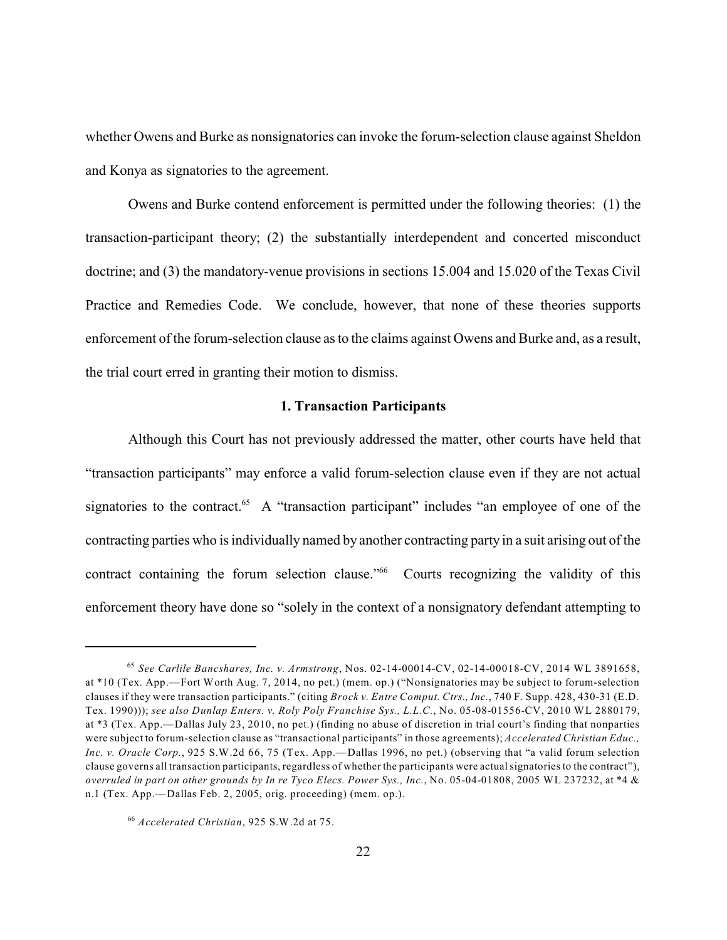whether Owens and Burke as nonsignatories can invoke the forum-selection clause against Sheldon and Konya as signatories to the agreement.

Owens and Burke contend enforcement is permitted under the following theories: (1) the transaction-participant theory; (2) the substantially interdependent and concerted misconduct doctrine; and (3) the mandatory-venue provisions in sections 15.004 and 15.020 of the Texas Civil Practice and Remedies Code. We conclude, however, that none of these theories supports enforcement of the forum-selection clause as to the claims against Owens and Burke and, as a result, the trial court erred in granting their motion to dismiss.

#### **1. Transaction Participants**

Although this Court has not previously addressed the matter, other courts have held that "transaction participants" may enforce a valid forum-selection clause even if they are not actual signatories to the contract.<sup> $65$ </sup> A "transaction participant" includes "an employee of one of the contracting parties who is individually named by another contracting party in a suit arising out of the contract containing the forum selection clause." $66$  Courts recognizing the validity of this enforcement theory have done so "solely in the context of a nonsignatory defendant attempting to

*See Carlile Bancshares, Inc. v. Armstrong*, Nos. 02-14-00014-CV, 02-14-00018-CV, 2014 WL 3891658, 65 at \*10 (Tex. App.—Fort Worth Aug. 7, 2014, no pet.) (mem. op.) ("Nonsignatories may be subject to forum-selection clauses if they were transaction participants." (citing *Brock v. Entre Comput. Ctrs., Inc.*, 740 F. Supp. 428, 430-31 (E.D. Tex. 1990))); *see also Dunlap Enters. v. Roly Poly Franchise Sys., L.L.C.*, No. 05-08-01556-CV, 2010 WL 2880179, at \*3 (Tex. App.—Dallas July 23, 2010, no pet.) (finding no abuse of discretion in trial court's finding that nonparties were subject to forum-selection clause as "transactional participants" in those agreements); *Accelerated Christian Educ., Inc. v. Oracle Corp.*, 925 S.W.2d 66, 75 (Tex. App.—Dallas 1996, no pet.) (observing that "a valid forum selection clause governs all transaction participants, regardless of whether the participants were actualsignatories to the contract"), *overruled in part on other grounds by In re Tyco Elecs. Power Sys., Inc.*, No. 05-04-01808, 2005 WL 237232, at \*4 & n.1 (Tex. App.—Dallas Feb. 2, 2005, orig. proceeding) (mem. op.).

*Accelerated Christian*, 925 S.W.2d at 75. 66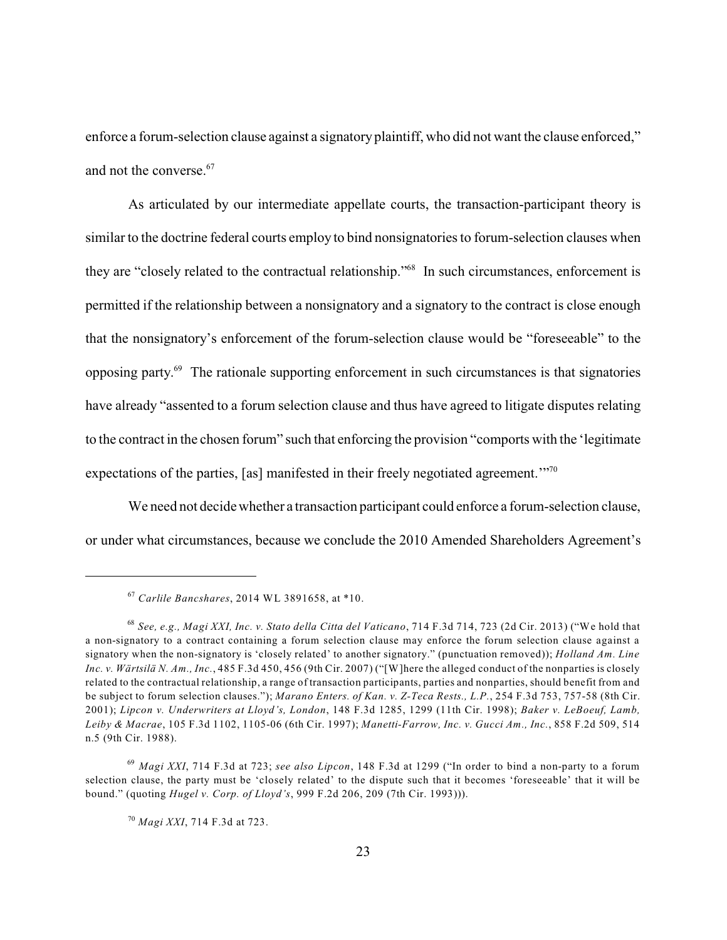enforce a forum-selection clause against a signatoryplaintiff, who did not want the clause enforced," and not the converse. 67

As articulated by our intermediate appellate courts, the transaction-participant theory is similar to the doctrine federal courts employ to bind nonsignatories to forum-selection clauses when they are "closely related to the contractual relationship."<sup>68</sup> In such circumstances, enforcement is permitted if the relationship between a nonsignatory and a signatory to the contract is close enough that the nonsignatory's enforcement of the forum-selection clause would be "foreseeable" to the opposing party. $^{69}$  The rationale supporting enforcement in such circumstances is that signatories have already "assented to a forum selection clause and thus have agreed to litigate disputes relating to the contract in the chosen forum" such that enforcing the provision "comports with the 'legitimate expectations of the parties, [as] manifested in their freely negotiated agreement."<sup>70</sup>

We need not decide whether a transaction participant could enforce a forum-selection clause, or under what circumstances, because we conclude the 2010 Amended Shareholders Agreement's

*Carlile Bancshares*, 2014 WL 3891658, at \*10. 67

*See, e.g., Magi XXI, Inc. v. Stato della Citta del Vaticano*, 714 F.3d 714, 723 (2d Cir. 2013) ("We hold that 68 a non-signatory to a contract containing a forum selection clause may enforce the forum selection clause against a signatory when the non-signatory is 'closely related' to another signatory." (punctuation removed)); *Holland Am. Line Inc. v. Wärtsilä N. Am., Inc.*, 485 F.3d 450, 456 (9th Cir. 2007) ("[W]here the alleged conduct of the nonparties is closely related to the contractual relationship, a range of transaction participants, parties and nonparties, should benefit from and be subject to forum selection clauses."); *Marano Enters. of Kan. v. Z-Teca Rests., L.P.*, 254 F.3d 753, 757-58 (8th Cir. 2001); *Lipcon v. Underwriters at Lloyd's, London*, 148 F.3d 1285, 1299 (11th Cir. 1998); *Baker v. LeBoeuf, Lamb, Leiby & Macrae*, 105 F.3d 1102, 1105-06 (6th Cir. 1997); *Manetti-Farrow, Inc. v. Gucci Am., Inc.*, 858 F.2d 509, 514 n.5 (9th Cir. 1988).

*Magi XXI*, 714 F.3d at 723; *see also Lipcon*, 148 F.3d at 1299 ("In order to bind a non-party to a forum 69 selection clause, the party must be 'closely related' to the dispute such that it becomes 'foreseeable' that it will be bound." (quoting *Hugel v. Corp. of Lloyd's*, 999 F.2d 206, 209 (7th Cir. 1993))).

*Magi XXI*, 714 F.3d at 723. 70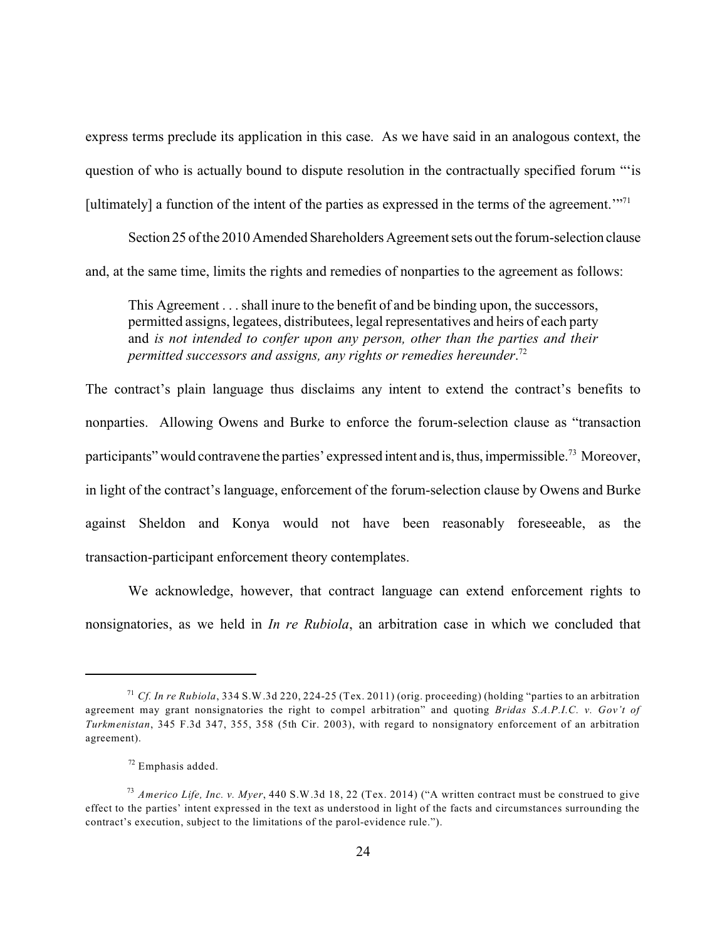express terms preclude its application in this case. As we have said in an analogous context, the question of who is actually bound to dispute resolution in the contractually specified forum "'is [ultimately] a function of the intent of the parties as expressed in the terms of the agreement.'"<sup>71</sup>

Section 25 of the 2010 Amended Shareholders Agreement sets out the forum-selection clause and, at the same time, limits the rights and remedies of nonparties to the agreement as follows:

This Agreement . . . shall inure to the benefit of and be binding upon, the successors, permitted assigns, legatees, distributees, legal representatives and heirs of each party and *is not intended to confer upon any person, other than the parties and their permitted successors and assigns, any rights or remedies hereunder*. 72

The contract's plain language thus disclaims any intent to extend the contract's benefits to nonparties. Allowing Owens and Burke to enforce the forum-selection clause as "transaction participants" would contravene the parties' expressed intent and is, thus, impermissible.<sup>73</sup> Moreover, in light of the contract's language, enforcement of the forum-selection clause by Owens and Burke against Sheldon and Konya would not have been reasonably foreseeable, as the transaction-participant enforcement theory contemplates.

We acknowledge, however, that contract language can extend enforcement rights to nonsignatories, as we held in *In re Rubiola*, an arbitration case in which we concluded that

*Cf. In re Rubiola*, 334 S.W.3d 220, 224-25 (Tex. 2011) (orig. proceeding) (holding "parties to an arbitration 71 agreement may grant nonsignatories the right to compel arbitration" and quoting *Bridas S.A.P.I.C. v. Gov't of Turkmenistan*, 345 F.3d 347, 355, 358 (5th Cir. 2003), with regard to nonsignatory enforcement of an arbitration agreement).

 $72$  Emphasis added.

*Americo Life, Inc. v. Myer*, 440 S.W.3d 18, 22 (Tex. 2014) ("A written contract must be construed to give 73 effect to the parties' intent expressed in the text as understood in light of the facts and circumstances surrounding the contract's execution, subject to the limitations of the parol-evidence rule.").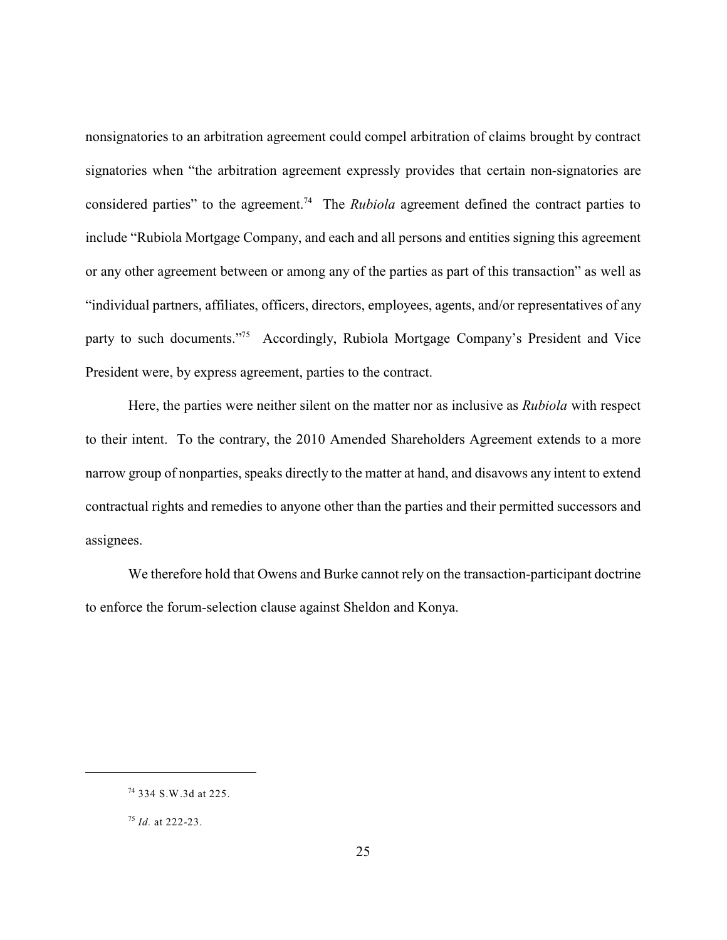nonsignatories to an arbitration agreement could compel arbitration of claims brought by contract signatories when "the arbitration agreement expressly provides that certain non-signatories are considered parties" to the agreement.<sup>74</sup> The *Rubiola* agreement defined the contract parties to include "Rubiola Mortgage Company, and each and all persons and entities signing this agreement or any other agreement between or among any of the parties as part of this transaction" as well as "individual partners, affiliates, officers, directors, employees, agents, and/or representatives of any party to such documents."<sup>75</sup> Accordingly, Rubiola Mortgage Company's President and Vice President were, by express agreement, parties to the contract.

Here, the parties were neither silent on the matter nor as inclusive as *Rubiola* with respect to their intent. To the contrary, the 2010 Amended Shareholders Agreement extends to a more narrow group of nonparties, speaks directly to the matter at hand, and disavows any intent to extend contractual rights and remedies to anyone other than the parties and their permitted successors and assignees.

We therefore hold that Owens and Burke cannot rely on the transaction-participant doctrine to enforce the forum-selection clause against Sheldon and Konya.

<sup>334</sup> S.W.3d at 225. 74

<sup>&</sup>lt;sup>75</sup> *Id.* at 222-23.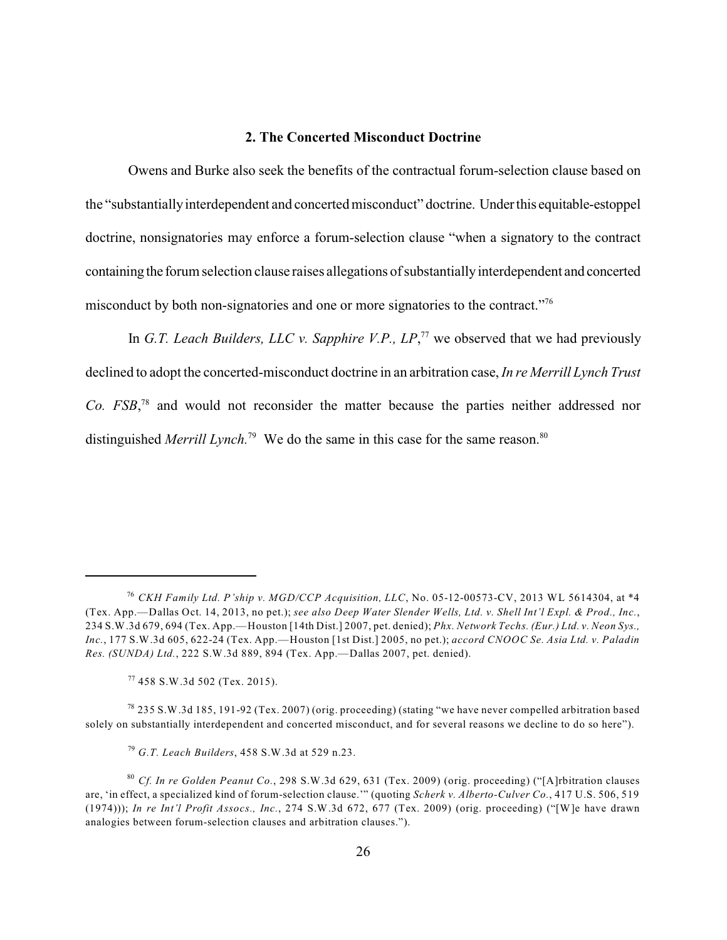# **2. The Concerted Misconduct Doctrine**

Owens and Burke also seek the benefits of the contractual forum-selection clause based on the "substantiallyinterdependent and concerted misconduct" doctrine. Underthis equitable-estoppel doctrine, nonsignatories may enforce a forum-selection clause "when a signatory to the contract containing the forum selection clause raises allegations of substantiallyinterdependent and concerted misconduct by both non-signatories and one or more signatories to the contract."<sup>76</sup>

In *G.T. Leach Builders, LLC v. Sapphire V.P.,*  $LP<sup>77</sup>$  we observed that we had previously declined to adopt the concerted-misconduct doctrine in an arbitration case, *In re Merrill Lynch Trust Co. FSB*<sup>78</sup> and would not reconsider the matter because the parties neither addressed nor distinguished *Merrill Lynch*.<sup>79</sup> We do the same in this case for the same reason.<sup>80</sup>

*CKH Family Ltd. P'ship v. MGD/CCP Acquisition, LLC*, No. 05-12-00573-CV, 2013 WL 5614304, at \*4 76 (Tex. App.—Dallas Oct. 14, 2013, no pet.); *see also Deep Water Slender Wells, Ltd. v. Shell Int'l Expl. & Prod., Inc.*, 234 S.W.3d 679, 694 (Tex. App.—Houston [14th Dist.] 2007, pet. denied); *Phx. Network Techs. (Eur.) Ltd. v. Neon Sys., Inc.*, 177 S.W.3d 605, 622-24 (Tex. App.—Houston [1st Dist.] 2005, no pet.); *accord CNOOC Se. Asia Ltd. v. Paladin Res. (SUNDA) Ltd.*, 222 S.W.3d 889, 894 (Tex. App.—Dallas 2007, pet. denied).

<sup>458</sup> S.W.3d 502 (Tex. 2015). 77

 $^{78}$  235 S.W.3d 185, 191-92 (Tex. 2007) (orig. proceeding) (stating "we have never compelled arbitration based solely on substantially interdependent and concerted misconduct, and for several reasons we decline to do so here").

*G.T. Leach Builders*, 458 S.W.3d at 529 n.23. 79

*Cf. In re Golden Peanut Co.*, 298 S.W.3d 629, 631 (Tex. 2009) (orig. proceeding) ("[A]rbitration clauses 80 are, 'in effect, a specialized kind of forum-selection clause.'" (quoting *Scherk v. Alberto-Culver Co.*, 417 U.S. 506, 519 (1974))); *In re Int'l Profit Assocs., Inc.*, 274 S.W.3d 672, 677 (Tex. 2009) (orig. proceeding) ("[W]e have drawn analogies between forum-selection clauses and arbitration clauses.").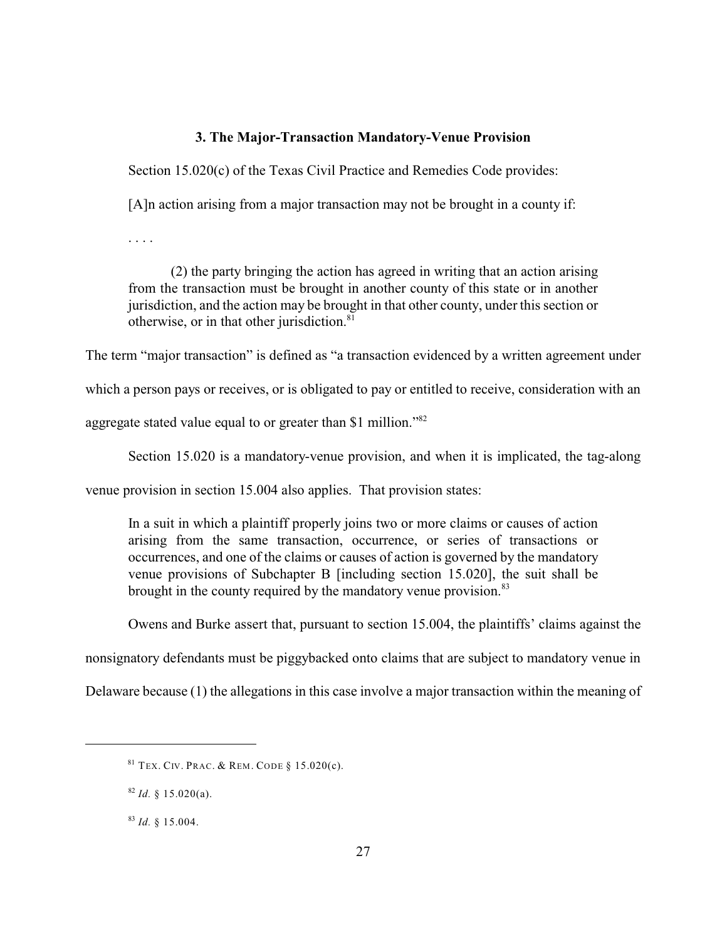## **3. The Major-Transaction Mandatory-Venue Provision**

Section 15.020(c) of the Texas Civil Practice and Remedies Code provides:

[A]n action arising from a major transaction may not be brought in a county if:

. . . .

(2) the party bringing the action has agreed in writing that an action arising from the transaction must be brought in another county of this state or in another jurisdiction, and the action may be brought in that other county, under this section or otherwise, or in that other jurisdiction.<sup>81</sup>

The term "major transaction" is defined as "a transaction evidenced by a written agreement under

which a person pays or receives, or is obligated to pay or entitled to receive, consideration with an

aggregate stated value equal to or greater than \$1 million."<sup>82</sup>

Section 15.020 is a mandatory-venue provision, and when it is implicated, the tag-along

venue provision in section 15.004 also applies. That provision states:

In a suit in which a plaintiff properly joins two or more claims or causes of action arising from the same transaction, occurrence, or series of transactions or occurrences, and one of the claims or causes of action is governed by the mandatory venue provisions of Subchapter B [including section 15.020], the suit shall be brought in the county required by the mandatory venue provision.<sup>83</sup>

Owens and Burke assert that, pursuant to section 15.004, the plaintiffs' claims against the

nonsignatory defendants must be piggybacked onto claims that are subject to mandatory venue in

Delaware because (1) the allegations in this case involve a major transaction within the meaning of

 $81$  Tex. Civ. Prac. & Rem. Code § 15.020(c).

 $82$  *Id.* § 15.020(a).

 $^{83}$  *Id.* § 15.004.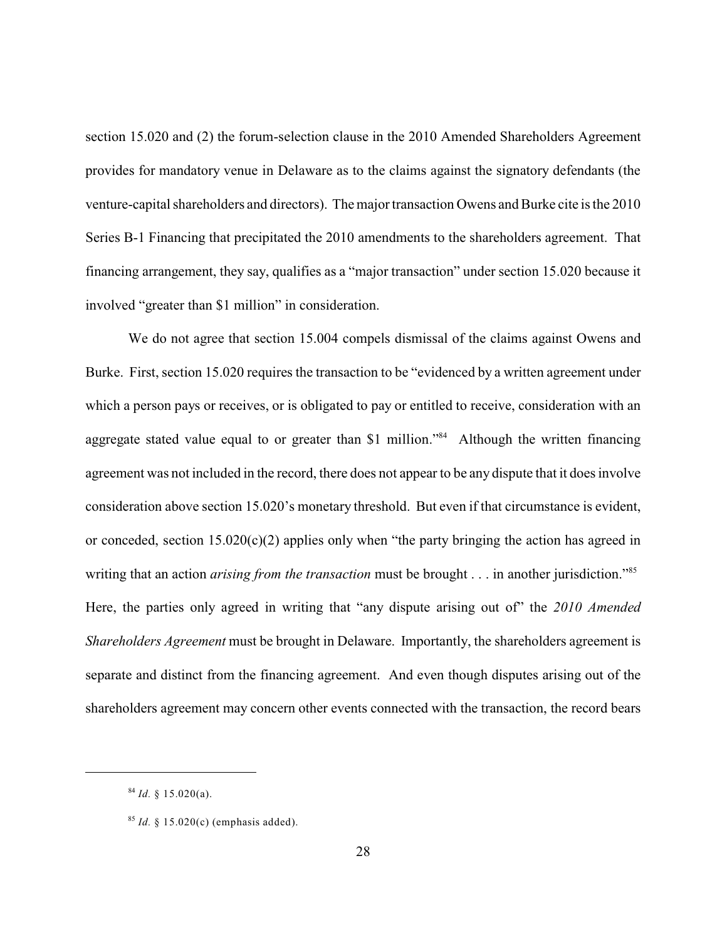section 15.020 and (2) the forum-selection clause in the 2010 Amended Shareholders Agreement provides for mandatory venue in Delaware as to the claims against the signatory defendants (the venture-capital shareholders and directors). The major transaction Owens and Burke cite is the 2010 Series B-1 Financing that precipitated the 2010 amendments to the shareholders agreement. That financing arrangement, they say, qualifies as a "major transaction" under section 15.020 because it involved "greater than \$1 million" in consideration.

We do not agree that section 15.004 compels dismissal of the claims against Owens and Burke. First, section 15.020 requires the transaction to be "evidenced by a written agreement under which a person pays or receives, or is obligated to pay or entitled to receive, consideration with an aggregate stated value equal to or greater than \$1 million."<sup>84</sup> Although the written financing agreement was not included in the record, there does not appear to be any dispute that it does involve consideration above section 15.020's monetary threshold. But even if that circumstance is evident, or conceded, section  $15.020(c)(2)$  applies only when "the party bringing the action has agreed in writing that an action *arising from the transaction* must be brought . . . in another jurisdiction."<sup>85</sup> Here, the parties only agreed in writing that "any dispute arising out of" the *2010 Amended Shareholders Agreement* must be brought in Delaware. Importantly, the shareholders agreement is separate and distinct from the financing agreement. And even though disputes arising out of the shareholders agreement may concern other events connected with the transaction, the record bears

 $^{84}$  *Id.* § 15.020(a).

 $^{85}$  *Id.* § 15.020(c) (emphasis added).